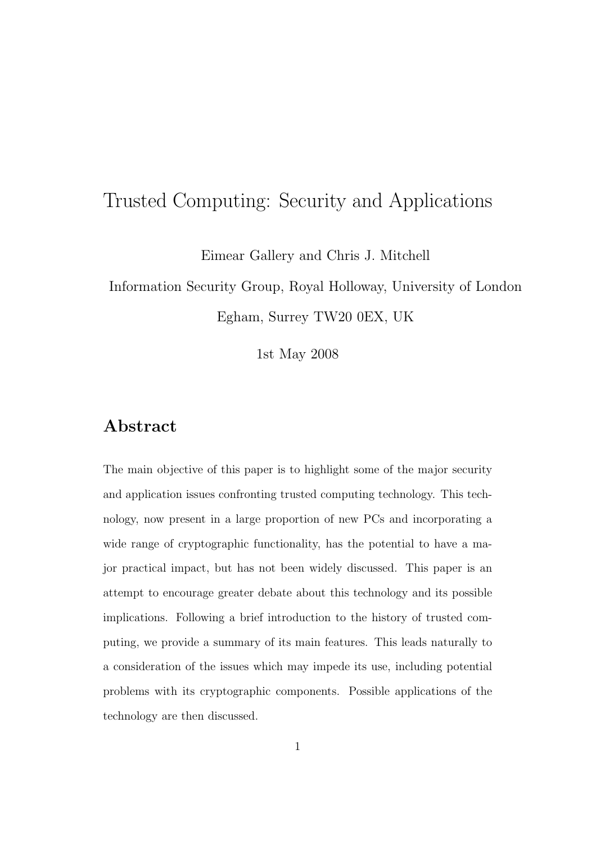# Trusted Computing: Security and Applications

Eimear Gallery and Chris J. Mitchell

Information Security Group, Royal Holloway, University of London Egham, Surrey TW20 0EX, UK

1st May 2008

### Abstract

The main objective of this paper is to highlight some of the major security and application issues confronting trusted computing technology. This technology, now present in a large proportion of new PCs and incorporating a wide range of cryptographic functionality, has the potential to have a major practical impact, but has not been widely discussed. This paper is an attempt to encourage greater debate about this technology and its possible implications. Following a brief introduction to the history of trusted computing, we provide a summary of its main features. This leads naturally to a consideration of the issues which may impede its use, including potential problems with its cryptographic components. Possible applications of the technology are then discussed.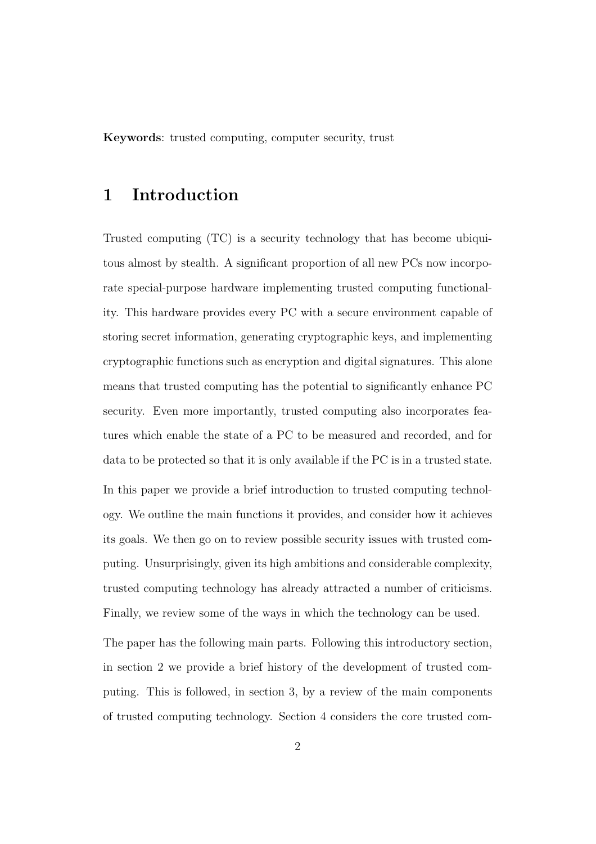Keywords: trusted computing, computer security, trust

### 1 Introduction

Trusted computing (TC) is a security technology that has become ubiquitous almost by stealth. A significant proportion of all new PCs now incorporate special-purpose hardware implementing trusted computing functionality. This hardware provides every PC with a secure environment capable of storing secret information, generating cryptographic keys, and implementing cryptographic functions such as encryption and digital signatures. This alone means that trusted computing has the potential to significantly enhance PC security. Even more importantly, trusted computing also incorporates features which enable the state of a PC to be measured and recorded, and for data to be protected so that it is only available if the PC is in a trusted state. In this paper we provide a brief introduction to trusted computing technology. We outline the main functions it provides, and consider how it achieves its goals. We then go on to review possible security issues with trusted computing. Unsurprisingly, given its high ambitions and considerable complexity, trusted computing technology has already attracted a number of criticisms. Finally, we review some of the ways in which the technology can be used.

The paper has the following main parts. Following this introductory section, in section 2 we provide a brief history of the development of trusted computing. This is followed, in section 3, by a review of the main components of trusted computing technology. Section 4 considers the core trusted com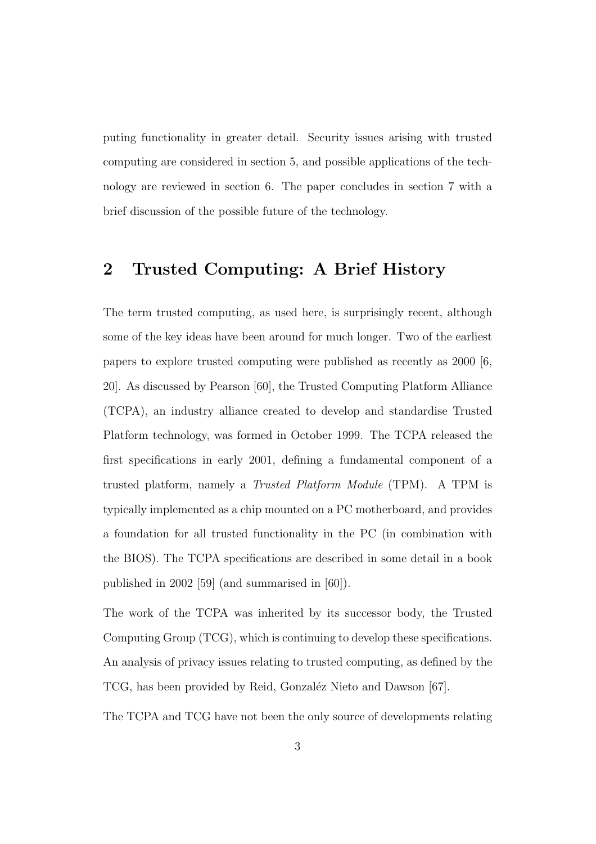puting functionality in greater detail. Security issues arising with trusted computing are considered in section 5, and possible applications of the technology are reviewed in section 6. The paper concludes in section 7 with a brief discussion of the possible future of the technology.

### 2 Trusted Computing: A Brief History

The term trusted computing, as used here, is surprisingly recent, although some of the key ideas have been around for much longer. Two of the earliest papers to explore trusted computing were published as recently as 2000 [6, 20]. As discussed by Pearson [60], the Trusted Computing Platform Alliance (TCPA), an industry alliance created to develop and standardise Trusted Platform technology, was formed in October 1999. The TCPA released the first specifications in early 2001, defining a fundamental component of a trusted platform, namely a Trusted Platform Module (TPM). A TPM is typically implemented as a chip mounted on a PC motherboard, and provides a foundation for all trusted functionality in the PC (in combination with the BIOS). The TCPA specifications are described in some detail in a book published in 2002 [59] (and summarised in [60]).

The work of the TCPA was inherited by its successor body, the Trusted Computing Group (TCG), which is continuing to develop these specifications. An analysis of privacy issues relating to trusted computing, as defined by the TCG, has been provided by Reid, Gonzaléz Nieto and Dawson [67].

The TCPA and TCG have not been the only source of developments relating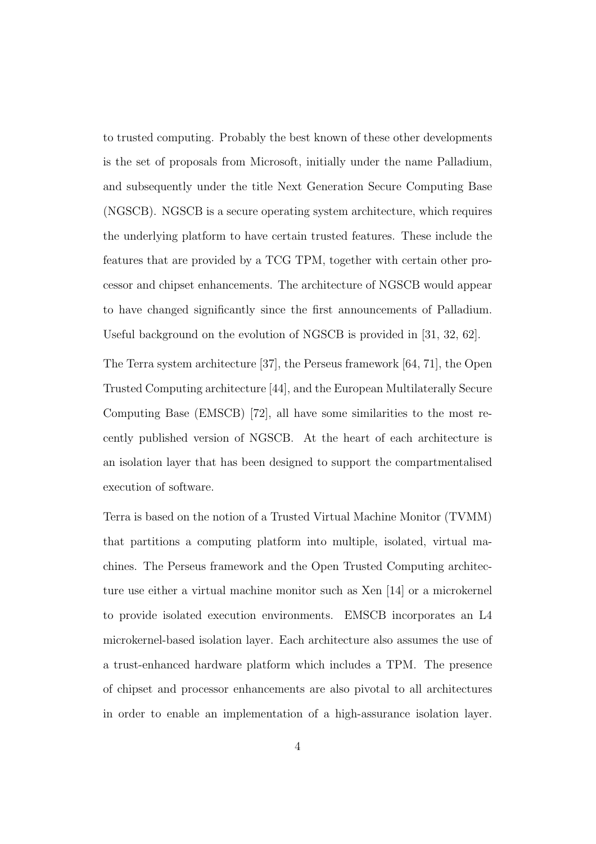to trusted computing. Probably the best known of these other developments is the set of proposals from Microsoft, initially under the name Palladium, and subsequently under the title Next Generation Secure Computing Base (NGSCB). NGSCB is a secure operating system architecture, which requires the underlying platform to have certain trusted features. These include the features that are provided by a TCG TPM, together with certain other processor and chipset enhancements. The architecture of NGSCB would appear to have changed significantly since the first announcements of Palladium. Useful background on the evolution of NGSCB is provided in [31, 32, 62].

The Terra system architecture [37], the Perseus framework [64, 71], the Open Trusted Computing architecture [44], and the European Multilaterally Secure Computing Base (EMSCB) [72], all have some similarities to the most recently published version of NGSCB. At the heart of each architecture is an isolation layer that has been designed to support the compartmentalised execution of software.

Terra is based on the notion of a Trusted Virtual Machine Monitor (TVMM) that partitions a computing platform into multiple, isolated, virtual machines. The Perseus framework and the Open Trusted Computing architecture use either a virtual machine monitor such as Xen [14] or a microkernel to provide isolated execution environments. EMSCB incorporates an L4 microkernel-based isolation layer. Each architecture also assumes the use of a trust-enhanced hardware platform which includes a TPM. The presence of chipset and processor enhancements are also pivotal to all architectures in order to enable an implementation of a high-assurance isolation layer.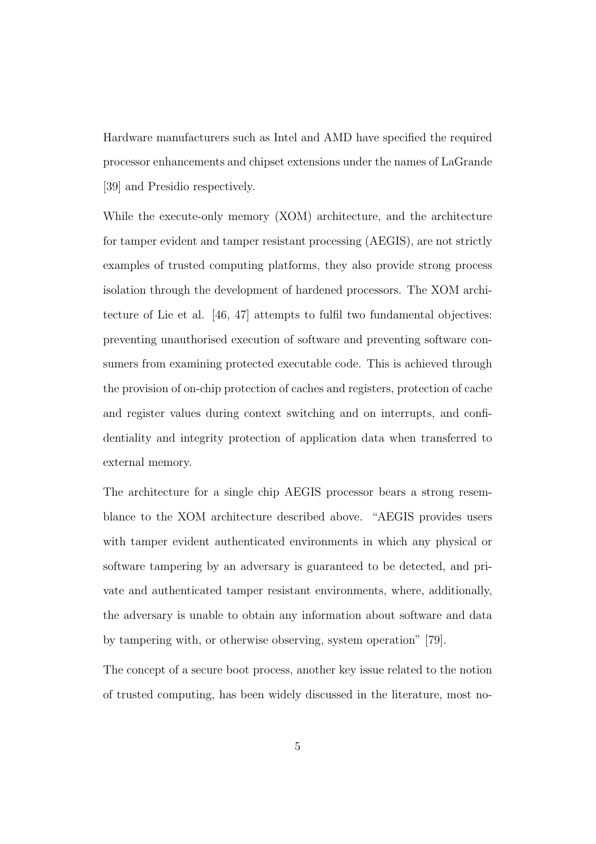Hardware manufacturers such as Intel and AMD have specified the required processor enhancements and chipset extensions under the names of LaGrande [39] and Presidio respectively.

While the execute-only memory (XOM) architecture, and the architecture for tamper evident and tamper resistant processing (AEGIS), are not strictly examples of trusted computing platforms, they also provide strong process isolation through the development of hardened processors. The XOM architecture of Lie et al. [46, 47] attempts to fulfil two fundamental objectives: preventing unauthorised execution of software and preventing software consumers from examining protected executable code. This is achieved through the provision of on-chip protection of caches and registers, protection of cache and register values during context switching and on interrupts, and confidentiality and integrity protection of application data when transferred to external memory.

The architecture for a single chip AEGIS processor bears a strong resemblance to the XOM architecture described above. "AEGIS provides users with tamper evident authenticated environments in which any physical or software tampering by an adversary is guaranteed to be detected, and private and authenticated tamper resistant environments, where, additionally, the adversary is unable to obtain any information about software and data by tampering with, or otherwise observing, system operation" [79].

The concept of a secure boot process, another key issue related to the notion of trusted computing, has been widely discussed in the literature, most no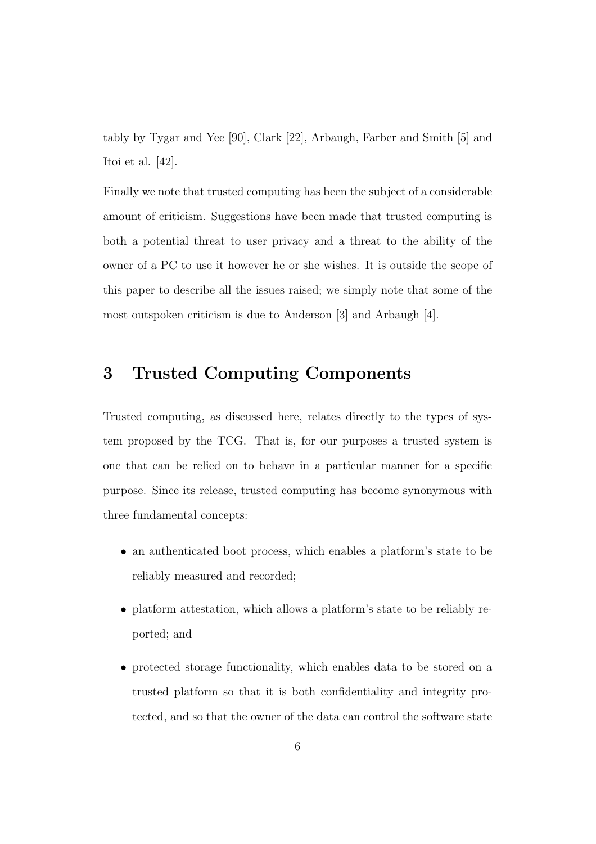tably by Tygar and Yee [90], Clark [22], Arbaugh, Farber and Smith [5] and Itoi et al. [42].

Finally we note that trusted computing has been the subject of a considerable amount of criticism. Suggestions have been made that trusted computing is both a potential threat to user privacy and a threat to the ability of the owner of a PC to use it however he or she wishes. It is outside the scope of this paper to describe all the issues raised; we simply note that some of the most outspoken criticism is due to Anderson [3] and Arbaugh [4].

# 3 Trusted Computing Components

Trusted computing, as discussed here, relates directly to the types of system proposed by the TCG. That is, for our purposes a trusted system is one that can be relied on to behave in a particular manner for a specific purpose. Since its release, trusted computing has become synonymous with three fundamental concepts:

- an authenticated boot process, which enables a platform's state to be reliably measured and recorded;
- platform attestation, which allows a platform's state to be reliably reported; and
- protected storage functionality, which enables data to be stored on a trusted platform so that it is both confidentiality and integrity protected, and so that the owner of the data can control the software state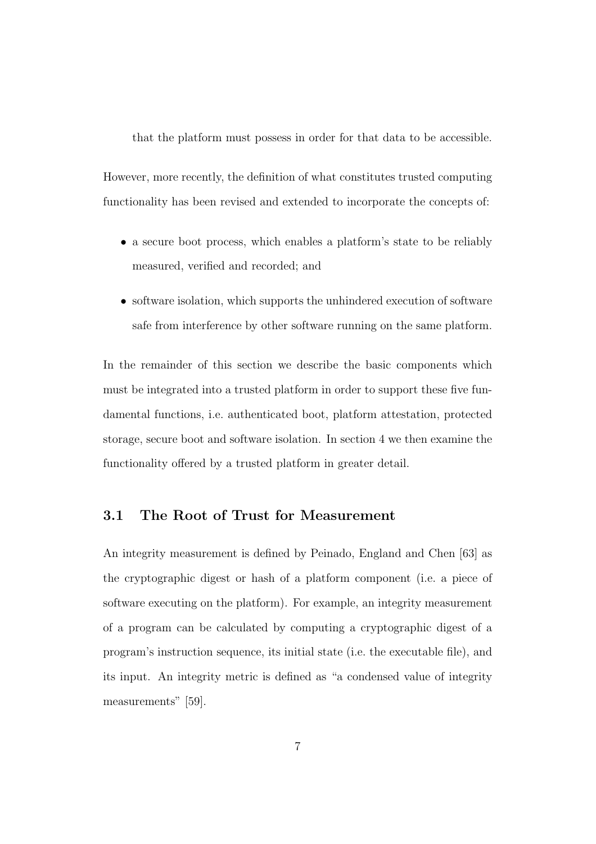that the platform must possess in order for that data to be accessible.

However, more recently, the definition of what constitutes trusted computing functionality has been revised and extended to incorporate the concepts of:

- a secure boot process, which enables a platform's state to be reliably measured, verified and recorded; and
- software isolation, which supports the unhindered execution of software safe from interference by other software running on the same platform.

In the remainder of this section we describe the basic components which must be integrated into a trusted platform in order to support these five fundamental functions, i.e. authenticated boot, platform attestation, protected storage, secure boot and software isolation. In section 4 we then examine the functionality offered by a trusted platform in greater detail.

### 3.1 The Root of Trust for Measurement

An integrity measurement is defined by Peinado, England and Chen [63] as the cryptographic digest or hash of a platform component (i.e. a piece of software executing on the platform). For example, an integrity measurement of a program can be calculated by computing a cryptographic digest of a program's instruction sequence, its initial state (i.e. the executable file), and its input. An integrity metric is defined as "a condensed value of integrity measurements" [59].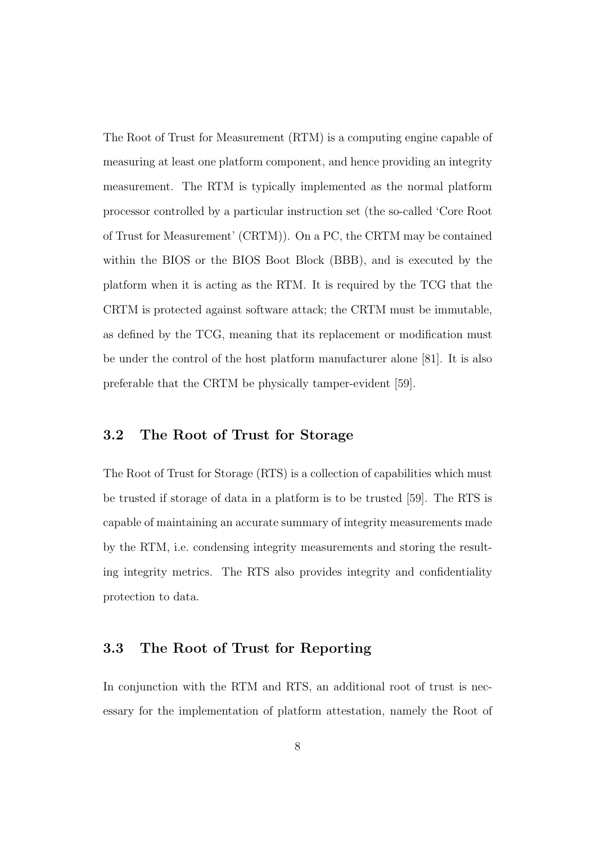The Root of Trust for Measurement (RTM) is a computing engine capable of measuring at least one platform component, and hence providing an integrity measurement. The RTM is typically implemented as the normal platform processor controlled by a particular instruction set (the so-called 'Core Root of Trust for Measurement' (CRTM)). On a PC, the CRTM may be contained within the BIOS or the BIOS Boot Block (BBB), and is executed by the platform when it is acting as the RTM. It is required by the TCG that the CRTM is protected against software attack; the CRTM must be immutable, as defined by the TCG, meaning that its replacement or modification must be under the control of the host platform manufacturer alone [81]. It is also preferable that the CRTM be physically tamper-evident [59].

### 3.2 The Root of Trust for Storage

The Root of Trust for Storage (RTS) is a collection of capabilities which must be trusted if storage of data in a platform is to be trusted [59]. The RTS is capable of maintaining an accurate summary of integrity measurements made by the RTM, i.e. condensing integrity measurements and storing the resulting integrity metrics. The RTS also provides integrity and confidentiality protection to data.

### 3.3 The Root of Trust for Reporting

In conjunction with the RTM and RTS, an additional root of trust is necessary for the implementation of platform attestation, namely the Root of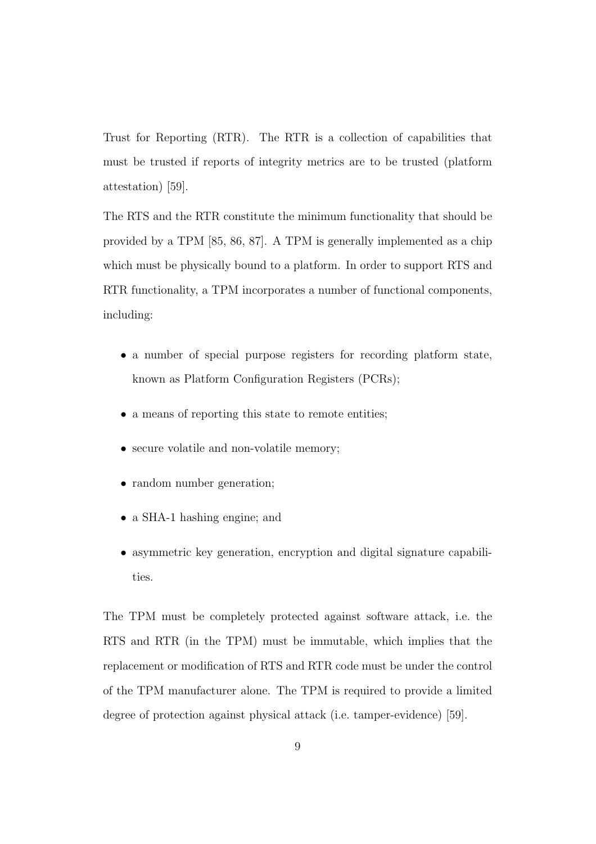Trust for Reporting (RTR). The RTR is a collection of capabilities that must be trusted if reports of integrity metrics are to be trusted (platform attestation) [59].

The RTS and the RTR constitute the minimum functionality that should be provided by a TPM [85, 86, 87]. A TPM is generally implemented as a chip which must be physically bound to a platform. In order to support RTS and RTR functionality, a TPM incorporates a number of functional components, including:

- a number of special purpose registers for recording platform state, known as Platform Configuration Registers (PCRs);
- a means of reporting this state to remote entities;
- secure volatile and non-volatile memory;
- random number generation;
- a SHA-1 hashing engine; and
- asymmetric key generation, encryption and digital signature capabilities.

The TPM must be completely protected against software attack, i.e. the RTS and RTR (in the TPM) must be immutable, which implies that the replacement or modification of RTS and RTR code must be under the control of the TPM manufacturer alone. The TPM is required to provide a limited degree of protection against physical attack (i.e. tamper-evidence) [59].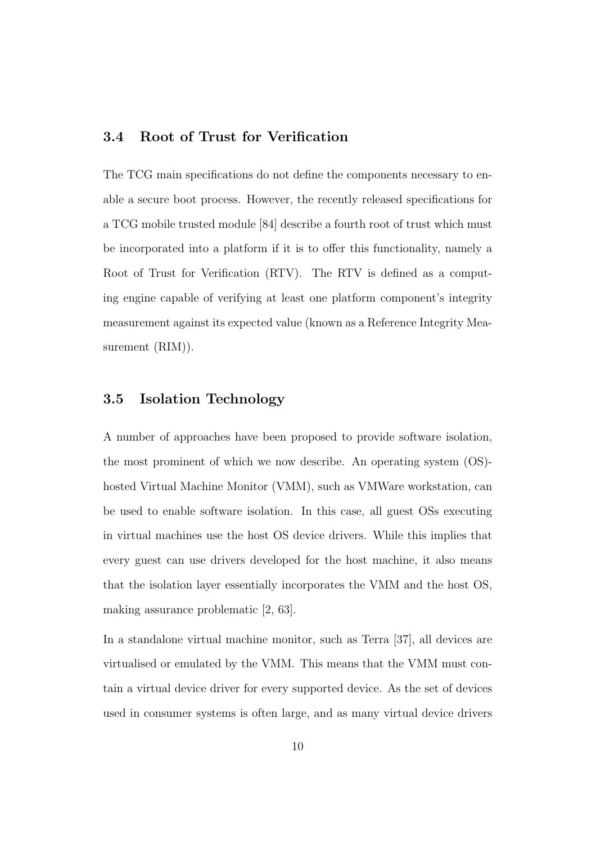### 3.4 Root of Trust for Verification

The TCG main specifications do not define the components necessary to enable a secure boot process. However, the recently released specifications for a TCG mobile trusted module [84] describe a fourth root of trust which must be incorporated into a platform if it is to offer this functionality, namely a Root of Trust for Verification (RTV). The RTV is defined as a computing engine capable of verifying at least one platform component's integrity measurement against its expected value (known as a Reference Integrity Measurement  $(RIM)$ .

### 3.5 Isolation Technology

A number of approaches have been proposed to provide software isolation, the most prominent of which we now describe. An operating system (OS) hosted Virtual Machine Monitor (VMM), such as VMWare workstation, can be used to enable software isolation. In this case, all guest OSs executing in virtual machines use the host OS device drivers. While this implies that every guest can use drivers developed for the host machine, it also means that the isolation layer essentially incorporates the VMM and the host OS, making assurance problematic [2, 63].

In a standalone virtual machine monitor, such as Terra [37], all devices are virtualised or emulated by the VMM. This means that the VMM must contain a virtual device driver for every supported device. As the set of devices used in consumer systems is often large, and as many virtual device drivers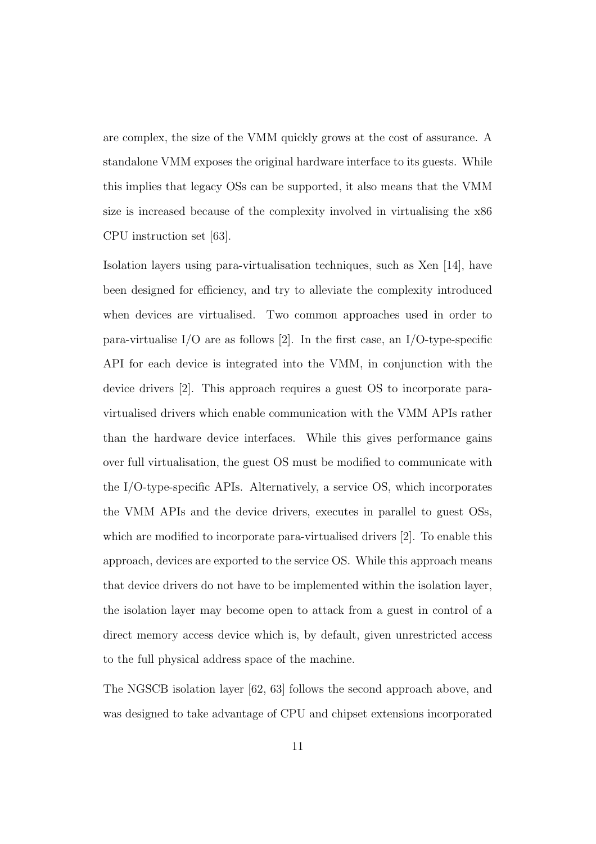are complex, the size of the VMM quickly grows at the cost of assurance. A standalone VMM exposes the original hardware interface to its guests. While this implies that legacy OSs can be supported, it also means that the VMM size is increased because of the complexity involved in virtualising the x86 CPU instruction set [63].

Isolation layers using para-virtualisation techniques, such as Xen [14], have been designed for efficiency, and try to alleviate the complexity introduced when devices are virtualised. Two common approaches used in order to para-virtualise I/O are as follows [2]. In the first case, an I/O-type-specific API for each device is integrated into the VMM, in conjunction with the device drivers [2]. This approach requires a guest OS to incorporate paravirtualised drivers which enable communication with the VMM APIs rather than the hardware device interfaces. While this gives performance gains over full virtualisation, the guest OS must be modified to communicate with the I/O-type-specific APIs. Alternatively, a service OS, which incorporates the VMM APIs and the device drivers, executes in parallel to guest OSs, which are modified to incorporate para-virtualised drivers [2]. To enable this approach, devices are exported to the service OS. While this approach means that device drivers do not have to be implemented within the isolation layer, the isolation layer may become open to attack from a guest in control of a direct memory access device which is, by default, given unrestricted access to the full physical address space of the machine.

The NGSCB isolation layer [62, 63] follows the second approach above, and was designed to take advantage of CPU and chipset extensions incorporated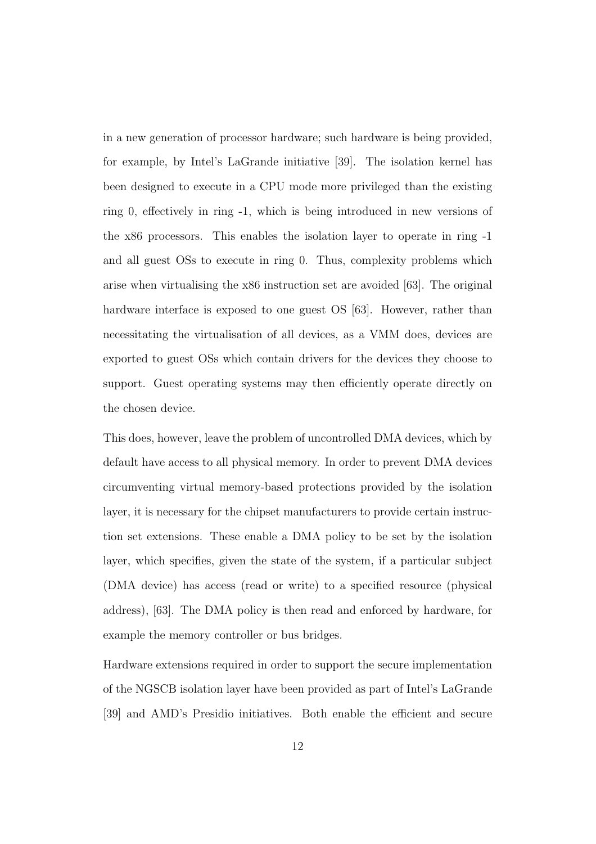in a new generation of processor hardware; such hardware is being provided, for example, by Intel's LaGrande initiative [39]. The isolation kernel has been designed to execute in a CPU mode more privileged than the existing ring 0, effectively in ring -1, which is being introduced in new versions of the x86 processors. This enables the isolation layer to operate in ring -1 and all guest OSs to execute in ring 0. Thus, complexity problems which arise when virtualising the x86 instruction set are avoided [63]. The original hardware interface is exposed to one guest OS [63]. However, rather than necessitating the virtualisation of all devices, as a VMM does, devices are exported to guest OSs which contain drivers for the devices they choose to support. Guest operating systems may then efficiently operate directly on the chosen device.

This does, however, leave the problem of uncontrolled DMA devices, which by default have access to all physical memory. In order to prevent DMA devices circumventing virtual memory-based protections provided by the isolation layer, it is necessary for the chipset manufacturers to provide certain instruction set extensions. These enable a DMA policy to be set by the isolation layer, which specifies, given the state of the system, if a particular subject (DMA device) has access (read or write) to a specified resource (physical address), [63]. The DMA policy is then read and enforced by hardware, for example the memory controller or bus bridges.

Hardware extensions required in order to support the secure implementation of the NGSCB isolation layer have been provided as part of Intel's LaGrande [39] and AMD's Presidio initiatives. Both enable the efficient and secure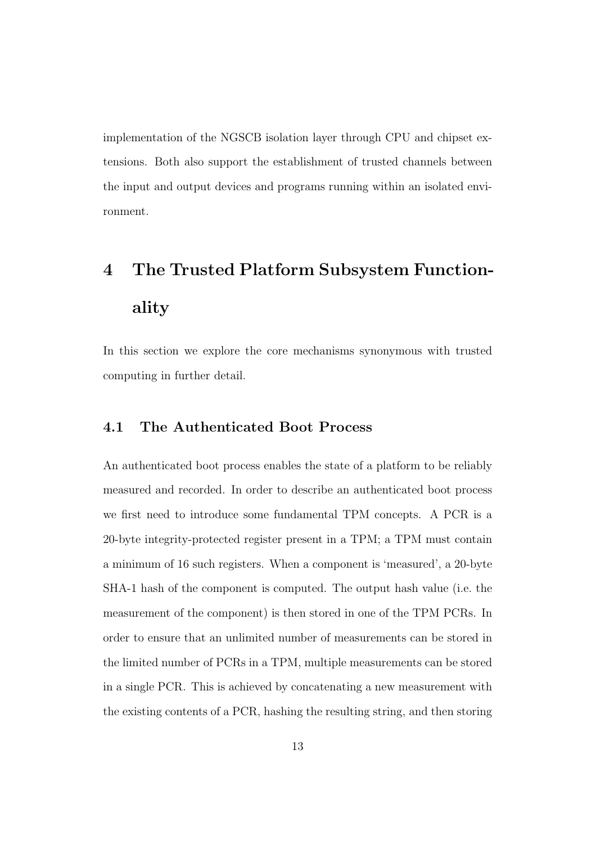implementation of the NGSCB isolation layer through CPU and chipset extensions. Both also support the establishment of trusted channels between the input and output devices and programs running within an isolated environment.

# 4 The Trusted Platform Subsystem Functionality

In this section we explore the core mechanisms synonymous with trusted computing in further detail.

### 4.1 The Authenticated Boot Process

An authenticated boot process enables the state of a platform to be reliably measured and recorded. In order to describe an authenticated boot process we first need to introduce some fundamental TPM concepts. A PCR is a 20-byte integrity-protected register present in a TPM; a TPM must contain a minimum of 16 such registers. When a component is 'measured', a 20-byte SHA-1 hash of the component is computed. The output hash value (i.e. the measurement of the component) is then stored in one of the TPM PCRs. In order to ensure that an unlimited number of measurements can be stored in the limited number of PCRs in a TPM, multiple measurements can be stored in a single PCR. This is achieved by concatenating a new measurement with the existing contents of a PCR, hashing the resulting string, and then storing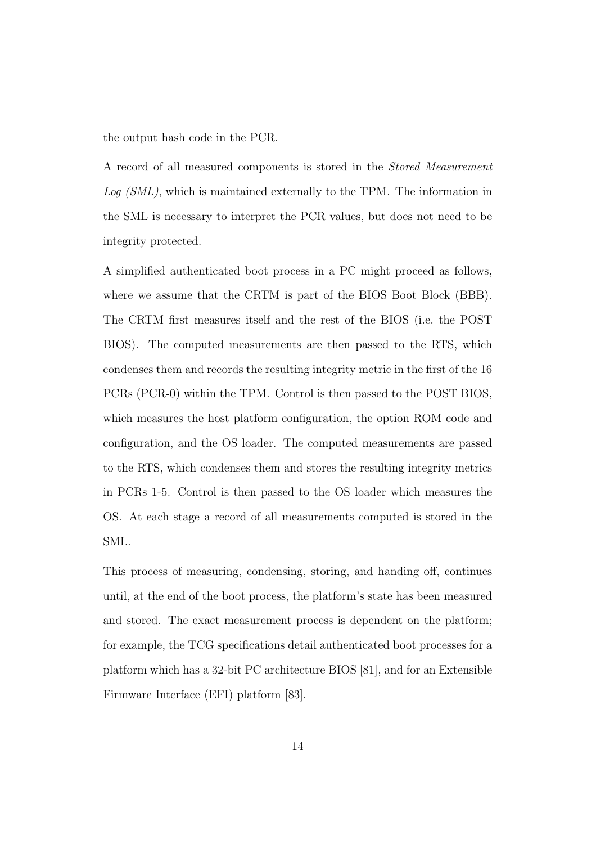the output hash code in the PCR.

A record of all measured components is stored in the Stored Measurement Log (SML), which is maintained externally to the TPM. The information in the SML is necessary to interpret the PCR values, but does not need to be integrity protected.

A simplified authenticated boot process in a PC might proceed as follows, where we assume that the CRTM is part of the BIOS Boot Block (BBB). The CRTM first measures itself and the rest of the BIOS (i.e. the POST BIOS). The computed measurements are then passed to the RTS, which condenses them and records the resulting integrity metric in the first of the 16 PCRs (PCR-0) within the TPM. Control is then passed to the POST BIOS, which measures the host platform configuration, the option ROM code and configuration, and the OS loader. The computed measurements are passed to the RTS, which condenses them and stores the resulting integrity metrics in PCRs 1-5. Control is then passed to the OS loader which measures the OS. At each stage a record of all measurements computed is stored in the SML.

This process of measuring, condensing, storing, and handing off, continues until, at the end of the boot process, the platform's state has been measured and stored. The exact measurement process is dependent on the platform; for example, the TCG specifications detail authenticated boot processes for a platform which has a 32-bit PC architecture BIOS [81], and for an Extensible Firmware Interface (EFI) platform [83].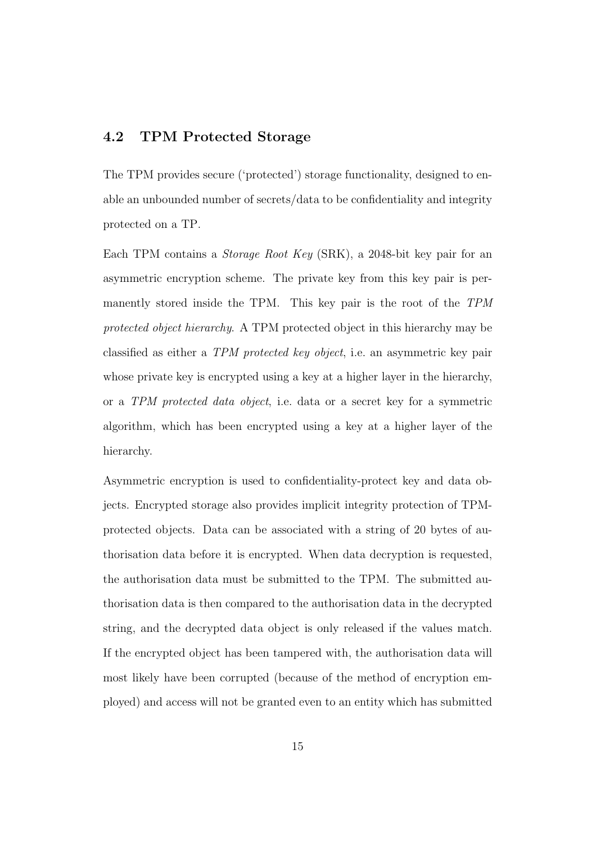### 4.2 TPM Protected Storage

The TPM provides secure ('protected') storage functionality, designed to enable an unbounded number of secrets/data to be confidentiality and integrity protected on a TP.

Each TPM contains a Storage Root Key (SRK), a 2048-bit key pair for an asymmetric encryption scheme. The private key from this key pair is permanently stored inside the TPM. This key pair is the root of the TPM protected object hierarchy. A TPM protected object in this hierarchy may be classified as either a TPM protected key object, i.e. an asymmetric key pair whose private key is encrypted using a key at a higher layer in the hierarchy, or a TPM protected data object, i.e. data or a secret key for a symmetric algorithm, which has been encrypted using a key at a higher layer of the hierarchy.

Asymmetric encryption is used to confidentiality-protect key and data objects. Encrypted storage also provides implicit integrity protection of TPMprotected objects. Data can be associated with a string of 20 bytes of authorisation data before it is encrypted. When data decryption is requested, the authorisation data must be submitted to the TPM. The submitted authorisation data is then compared to the authorisation data in the decrypted string, and the decrypted data object is only released if the values match. If the encrypted object has been tampered with, the authorisation data will most likely have been corrupted (because of the method of encryption employed) and access will not be granted even to an entity which has submitted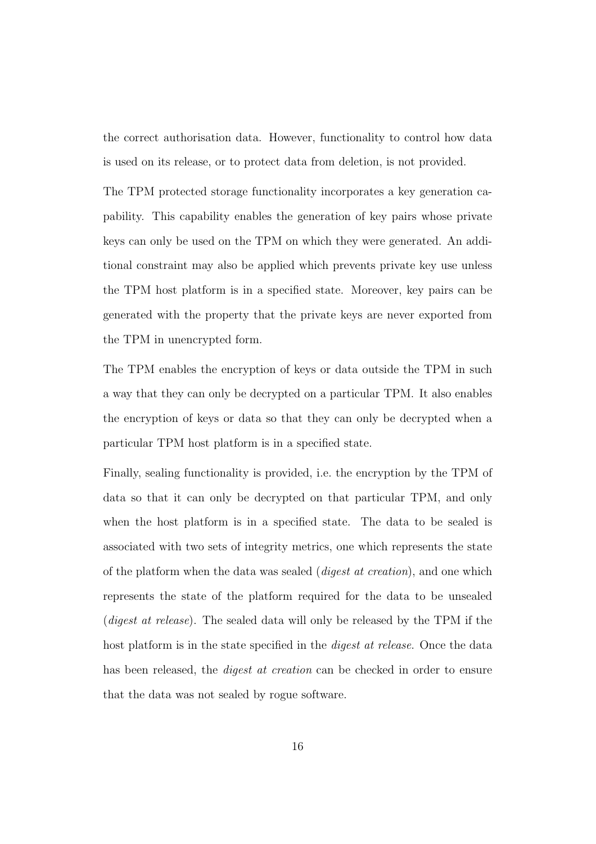the correct authorisation data. However, functionality to control how data is used on its release, or to protect data from deletion, is not provided.

The TPM protected storage functionality incorporates a key generation capability. This capability enables the generation of key pairs whose private keys can only be used on the TPM on which they were generated. An additional constraint may also be applied which prevents private key use unless the TPM host platform is in a specified state. Moreover, key pairs can be generated with the property that the private keys are never exported from the TPM in unencrypted form.

The TPM enables the encryption of keys or data outside the TPM in such a way that they can only be decrypted on a particular TPM. It also enables the encryption of keys or data so that they can only be decrypted when a particular TPM host platform is in a specified state.

Finally, sealing functionality is provided, i.e. the encryption by the TPM of data so that it can only be decrypted on that particular TPM, and only when the host platform is in a specified state. The data to be sealed is associated with two sets of integrity metrics, one which represents the state of the platform when the data was sealed (digest at creation), and one which represents the state of the platform required for the data to be unsealed (digest at release). The sealed data will only be released by the TPM if the host platform is in the state specified in the *digest at release*. Once the data has been released, the *digest at creation* can be checked in order to ensure that the data was not sealed by rogue software.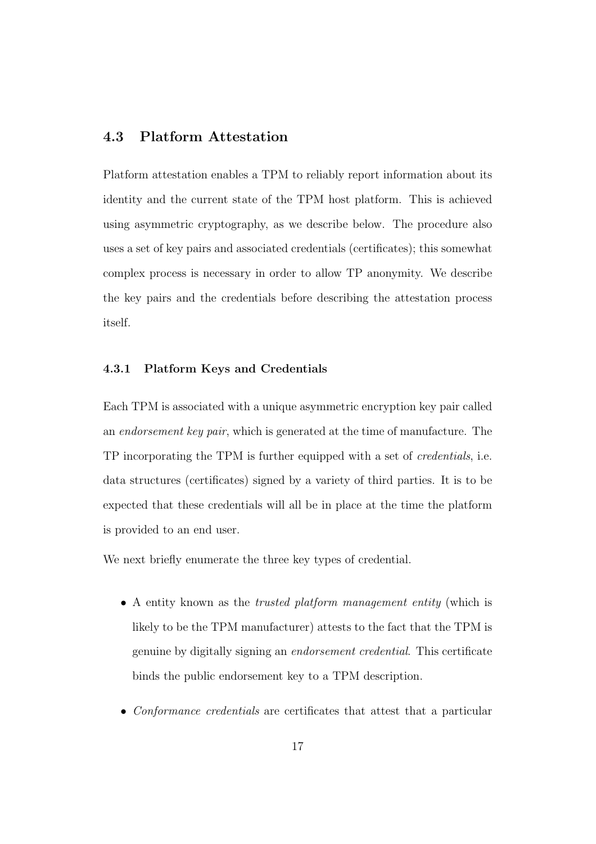### 4.3 Platform Attestation

Platform attestation enables a TPM to reliably report information about its identity and the current state of the TPM host platform. This is achieved using asymmetric cryptography, as we describe below. The procedure also uses a set of key pairs and associated credentials (certificates); this somewhat complex process is necessary in order to allow TP anonymity. We describe the key pairs and the credentials before describing the attestation process itself.

#### 4.3.1 Platform Keys and Credentials

Each TPM is associated with a unique asymmetric encryption key pair called an endorsement key pair, which is generated at the time of manufacture. The TP incorporating the TPM is further equipped with a set of credentials, i.e. data structures (certificates) signed by a variety of third parties. It is to be expected that these credentials will all be in place at the time the platform is provided to an end user.

We next briefly enumerate the three key types of credential.

- A entity known as the *trusted platform management entity* (which is likely to be the TPM manufacturer) attests to the fact that the TPM is genuine by digitally signing an endorsement credential. This certificate binds the public endorsement key to a TPM description.
- Conformance credentials are certificates that attest that a particular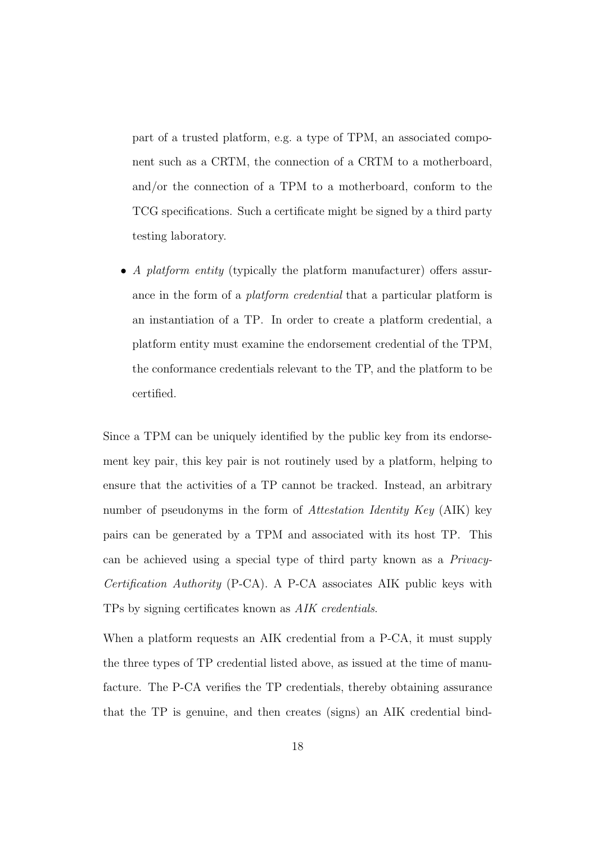part of a trusted platform, e.g. a type of TPM, an associated component such as a CRTM, the connection of a CRTM to a motherboard, and/or the connection of a TPM to a motherboard, conform to the TCG specifications. Such a certificate might be signed by a third party testing laboratory.

• A *platform entity* (typically the platform manufacturer) offers assurance in the form of a *platform credential* that a particular platform is an instantiation of a TP. In order to create a platform credential, a platform entity must examine the endorsement credential of the TPM, the conformance credentials relevant to the TP, and the platform to be certified.

Since a TPM can be uniquely identified by the public key from its endorsement key pair, this key pair is not routinely used by a platform, helping to ensure that the activities of a TP cannot be tracked. Instead, an arbitrary number of pseudonyms in the form of Attestation Identity Key (AIK) key pairs can be generated by a TPM and associated with its host TP. This can be achieved using a special type of third party known as a Privacy-Certification Authority (P-CA). A P-CA associates AIK public keys with TPs by signing certificates known as AIK credentials.

When a platform requests an AIK credential from a P-CA, it must supply the three types of TP credential listed above, as issued at the time of manufacture. The P-CA verifies the TP credentials, thereby obtaining assurance that the TP is genuine, and then creates (signs) an AIK credential bind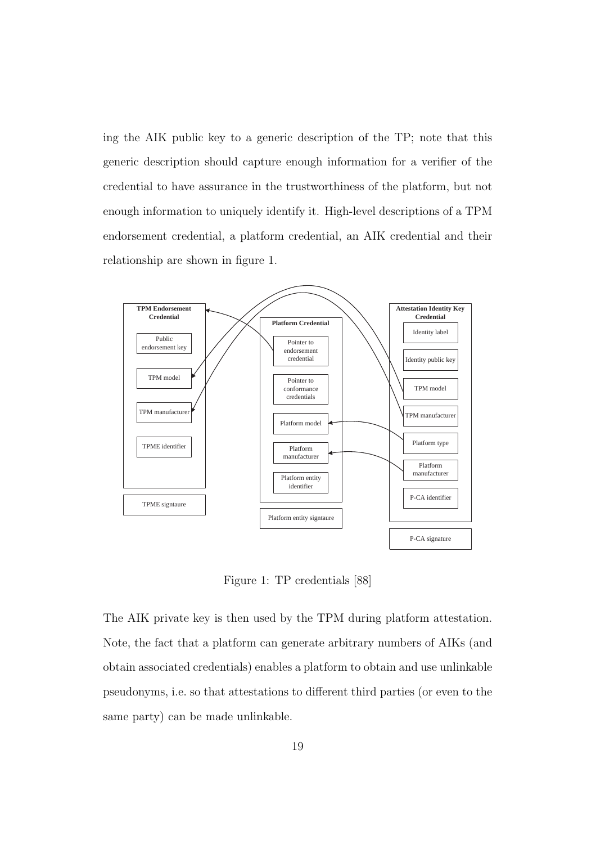ing the AIK public key to a generic description of the TP; note that this generic description should capture enough information for a verifier of the credential to have assurance in the trustworthiness of the platform, but not enough information to uniquely identify it. High-level descriptions of a TPM endorsement credential, a platform credential, an AIK credential and their relationship are shown in figure 1.



Figure 1: TP credentials [88]

The AIK private key is then used by the TPM during platform attestation. Note, the fact that a platform can generate arbitrary numbers of AIKs (and obtain associated credentials) enables a platform to obtain and use unlinkable pseudonyms, i.e. so that attestations to different third parties (or even to the same party) can be made unlinkable.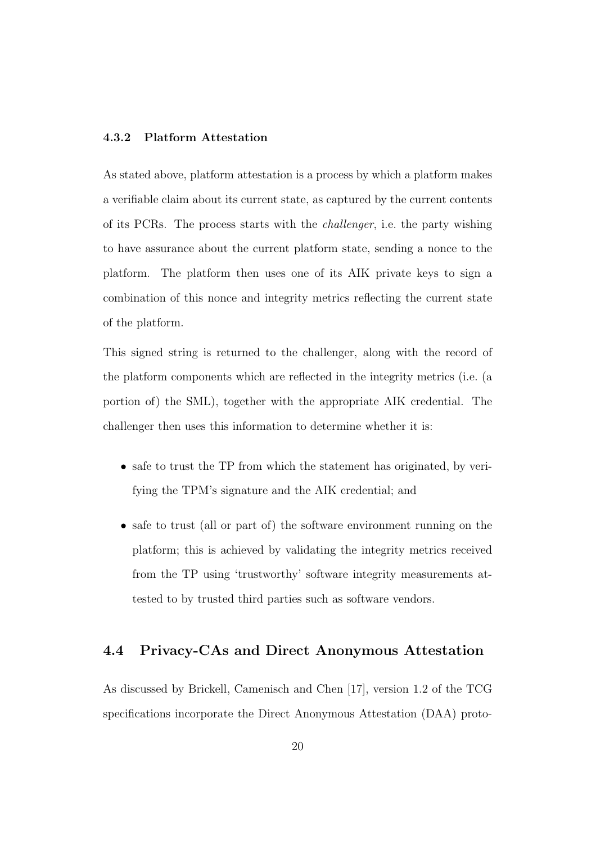### 4.3.2 Platform Attestation

As stated above, platform attestation is a process by which a platform makes a verifiable claim about its current state, as captured by the current contents of its PCRs. The process starts with the challenger, i.e. the party wishing to have assurance about the current platform state, sending a nonce to the platform. The platform then uses one of its AIK private keys to sign a combination of this nonce and integrity metrics reflecting the current state of the platform.

This signed string is returned to the challenger, along with the record of the platform components which are reflected in the integrity metrics (i.e. (a portion of) the SML), together with the appropriate AIK credential. The challenger then uses this information to determine whether it is:

- safe to trust the TP from which the statement has originated, by verifying the TPM's signature and the AIK credential; and
- safe to trust (all or part of) the software environment running on the platform; this is achieved by validating the integrity metrics received from the TP using 'trustworthy' software integrity measurements attested to by trusted third parties such as software vendors.

### 4.4 Privacy-CAs and Direct Anonymous Attestation

As discussed by Brickell, Camenisch and Chen [17], version 1.2 of the TCG specifications incorporate the Direct Anonymous Attestation (DAA) proto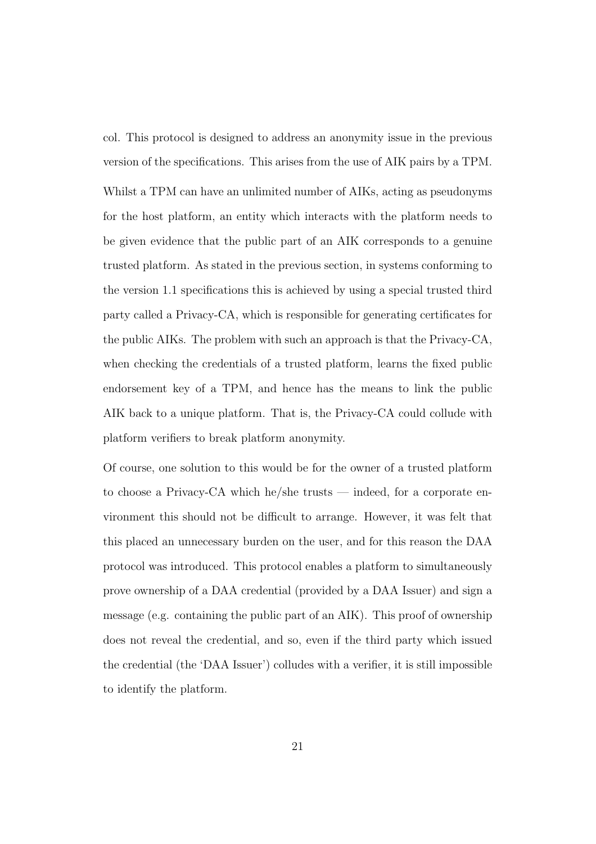col. This protocol is designed to address an anonymity issue in the previous version of the specifications. This arises from the use of AIK pairs by a TPM. Whilst a TPM can have an unlimited number of AIKs, acting as pseudonyms for the host platform, an entity which interacts with the platform needs to be given evidence that the public part of an AIK corresponds to a genuine trusted platform. As stated in the previous section, in systems conforming to the version 1.1 specifications this is achieved by using a special trusted third party called a Privacy-CA, which is responsible for generating certificates for the public AIKs. The problem with such an approach is that the Privacy-CA, when checking the credentials of a trusted platform, learns the fixed public endorsement key of a TPM, and hence has the means to link the public AIK back to a unique platform. That is, the Privacy-CA could collude with platform verifiers to break platform anonymity.

Of course, one solution to this would be for the owner of a trusted platform to choose a Privacy-CA which he/she trusts — indeed, for a corporate environment this should not be difficult to arrange. However, it was felt that this placed an unnecessary burden on the user, and for this reason the DAA protocol was introduced. This protocol enables a platform to simultaneously prove ownership of a DAA credential (provided by a DAA Issuer) and sign a message (e.g. containing the public part of an AIK). This proof of ownership does not reveal the credential, and so, even if the third party which issued the credential (the 'DAA Issuer') colludes with a verifier, it is still impossible to identify the platform.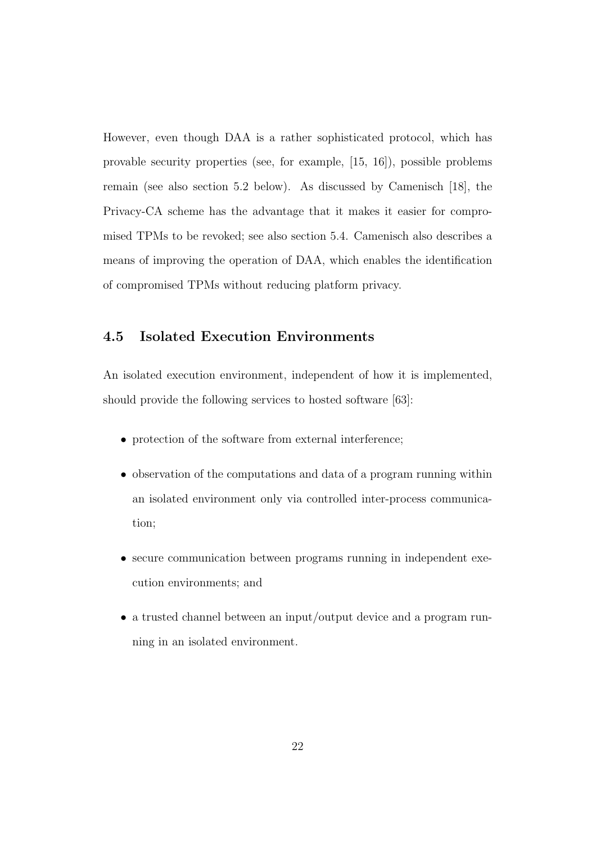However, even though DAA is a rather sophisticated protocol, which has provable security properties (see, for example, [15, 16]), possible problems remain (see also section 5.2 below). As discussed by Camenisch [18], the Privacy-CA scheme has the advantage that it makes it easier for compromised TPMs to be revoked; see also section 5.4. Camenisch also describes a means of improving the operation of DAA, which enables the identification of compromised TPMs without reducing platform privacy.

### 4.5 Isolated Execution Environments

An isolated execution environment, independent of how it is implemented, should provide the following services to hosted software [63]:

- protection of the software from external interference;
- observation of the computations and data of a program running within an isolated environment only via controlled inter-process communication;
- secure communication between programs running in independent execution environments; and
- a trusted channel between an input/output device and a program running in an isolated environment.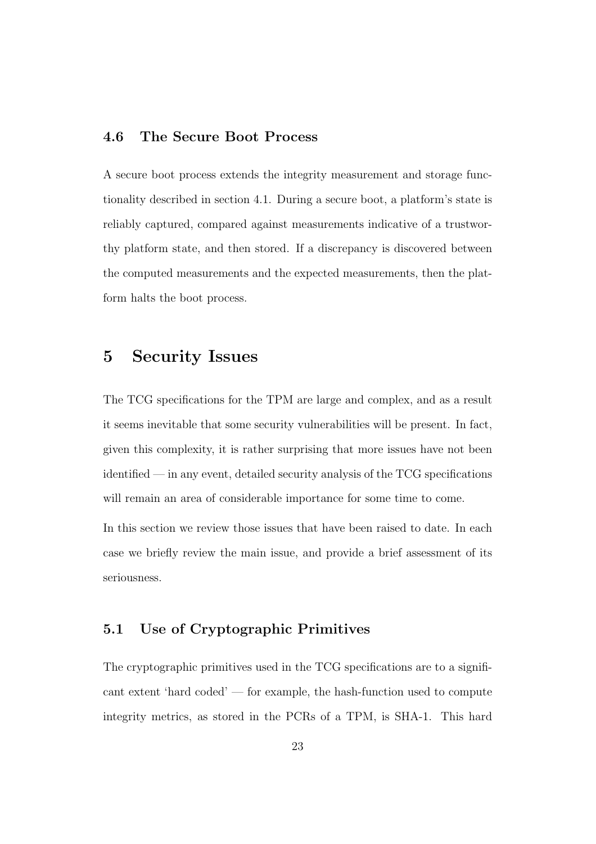### 4.6 The Secure Boot Process

A secure boot process extends the integrity measurement and storage functionality described in section 4.1. During a secure boot, a platform's state is reliably captured, compared against measurements indicative of a trustworthy platform state, and then stored. If a discrepancy is discovered between the computed measurements and the expected measurements, then the platform halts the boot process.

### 5 Security Issues

The TCG specifications for the TPM are large and complex, and as a result it seems inevitable that some security vulnerabilities will be present. In fact, given this complexity, it is rather surprising that more issues have not been identified — in any event, detailed security analysis of the TCG specifications will remain an area of considerable importance for some time to come.

In this section we review those issues that have been raised to date. In each case we briefly review the main issue, and provide a brief assessment of its seriousness.

### 5.1 Use of Cryptographic Primitives

The cryptographic primitives used in the TCG specifications are to a significant extent 'hard coded' — for example, the hash-function used to compute integrity metrics, as stored in the PCRs of a TPM, is SHA-1. This hard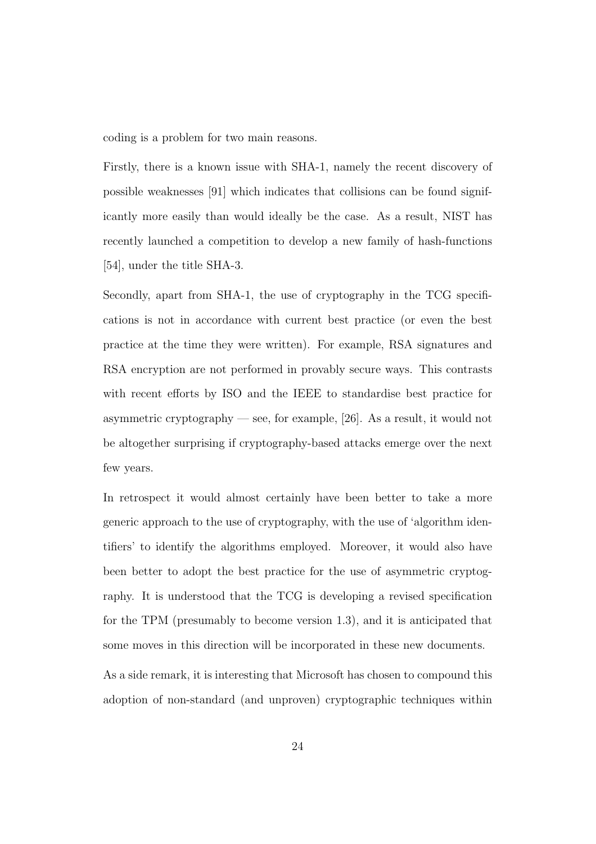coding is a problem for two main reasons.

Firstly, there is a known issue with SHA-1, namely the recent discovery of possible weaknesses [91] which indicates that collisions can be found significantly more easily than would ideally be the case. As a result, NIST has recently launched a competition to develop a new family of hash-functions [54], under the title SHA-3.

Secondly, apart from SHA-1, the use of cryptography in the TCG specifications is not in accordance with current best practice (or even the best practice at the time they were written). For example, RSA signatures and RSA encryption are not performed in provably secure ways. This contrasts with recent efforts by ISO and the IEEE to standardise best practice for asymmetric cryptography — see, for example,  $[26]$ . As a result, it would not be altogether surprising if cryptography-based attacks emerge over the next few years.

In retrospect it would almost certainly have been better to take a more generic approach to the use of cryptography, with the use of 'algorithm identifiers' to identify the algorithms employed. Moreover, it would also have been better to adopt the best practice for the use of asymmetric cryptography. It is understood that the TCG is developing a revised specification for the TPM (presumably to become version 1.3), and it is anticipated that some moves in this direction will be incorporated in these new documents.

As a side remark, it is interesting that Microsoft has chosen to compound this adoption of non-standard (and unproven) cryptographic techniques within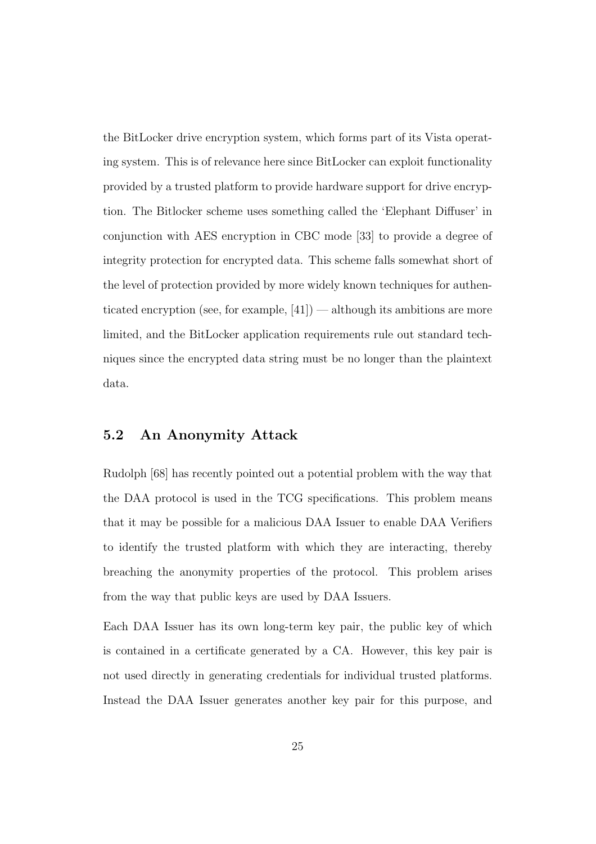the BitLocker drive encryption system, which forms part of its Vista operating system. This is of relevance here since BitLocker can exploit functionality provided by a trusted platform to provide hardware support for drive encryption. The Bitlocker scheme uses something called the 'Elephant Diffuser' in conjunction with AES encryption in CBC mode [33] to provide a degree of integrity protection for encrypted data. This scheme falls somewhat short of the level of protection provided by more widely known techniques for authenticated encryption (see, for example,  $[41]$ ) — although its ambitions are more limited, and the BitLocker application requirements rule out standard techniques since the encrypted data string must be no longer than the plaintext data.

### 5.2 An Anonymity Attack

Rudolph [68] has recently pointed out a potential problem with the way that the DAA protocol is used in the TCG specifications. This problem means that it may be possible for a malicious DAA Issuer to enable DAA Verifiers to identify the trusted platform with which they are interacting, thereby breaching the anonymity properties of the protocol. This problem arises from the way that public keys are used by DAA Issuers.

Each DAA Issuer has its own long-term key pair, the public key of which is contained in a certificate generated by a CA. However, this key pair is not used directly in generating credentials for individual trusted platforms. Instead the DAA Issuer generates another key pair for this purpose, and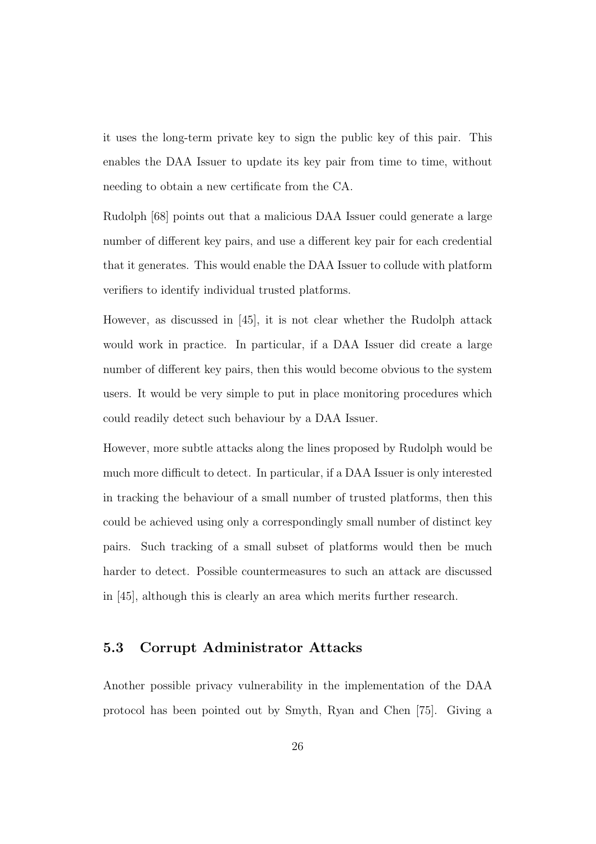it uses the long-term private key to sign the public key of this pair. This enables the DAA Issuer to update its key pair from time to time, without needing to obtain a new certificate from the CA.

Rudolph [68] points out that a malicious DAA Issuer could generate a large number of different key pairs, and use a different key pair for each credential that it generates. This would enable the DAA Issuer to collude with platform verifiers to identify individual trusted platforms.

However, as discussed in [45], it is not clear whether the Rudolph attack would work in practice. In particular, if a DAA Issuer did create a large number of different key pairs, then this would become obvious to the system users. It would be very simple to put in place monitoring procedures which could readily detect such behaviour by a DAA Issuer.

However, more subtle attacks along the lines proposed by Rudolph would be much more difficult to detect. In particular, if a DAA Issuer is only interested in tracking the behaviour of a small number of trusted platforms, then this could be achieved using only a correspondingly small number of distinct key pairs. Such tracking of a small subset of platforms would then be much harder to detect. Possible countermeasures to such an attack are discussed in [45], although this is clearly an area which merits further research.

### 5.3 Corrupt Administrator Attacks

Another possible privacy vulnerability in the implementation of the DAA protocol has been pointed out by Smyth, Ryan and Chen [75]. Giving a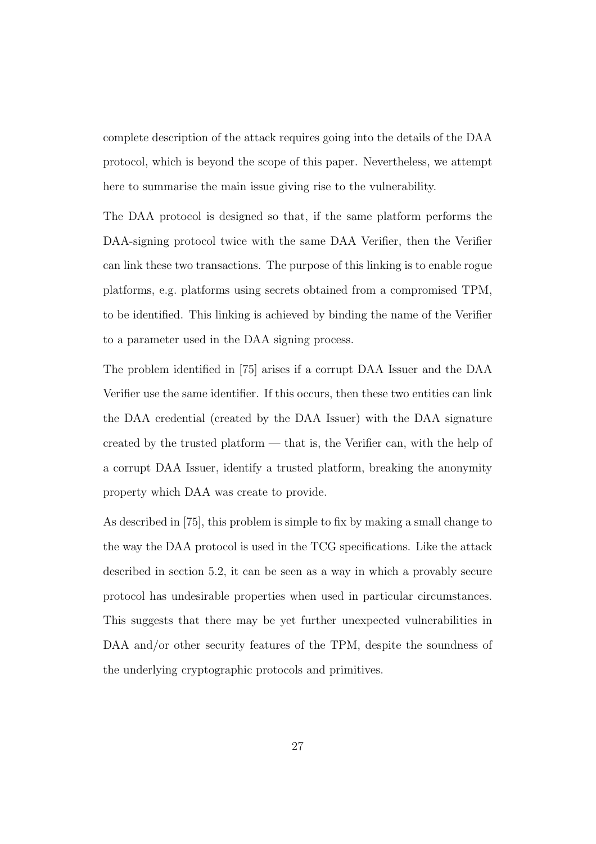complete description of the attack requires going into the details of the DAA protocol, which is beyond the scope of this paper. Nevertheless, we attempt here to summarise the main issue giving rise to the vulnerability.

The DAA protocol is designed so that, if the same platform performs the DAA-signing protocol twice with the same DAA Verifier, then the Verifier can link these two transactions. The purpose of this linking is to enable rogue platforms, e.g. platforms using secrets obtained from a compromised TPM, to be identified. This linking is achieved by binding the name of the Verifier to a parameter used in the DAA signing process.

The problem identified in [75] arises if a corrupt DAA Issuer and the DAA Verifier use the same identifier. If this occurs, then these two entities can link the DAA credential (created by the DAA Issuer) with the DAA signature created by the trusted platform — that is, the Verifier can, with the help of a corrupt DAA Issuer, identify a trusted platform, breaking the anonymity property which DAA was create to provide.

As described in [75], this problem is simple to fix by making a small change to the way the DAA protocol is used in the TCG specifications. Like the attack described in section 5.2, it can be seen as a way in which a provably secure protocol has undesirable properties when used in particular circumstances. This suggests that there may be yet further unexpected vulnerabilities in DAA and/or other security features of the TPM, despite the soundness of the underlying cryptographic protocols and primitives.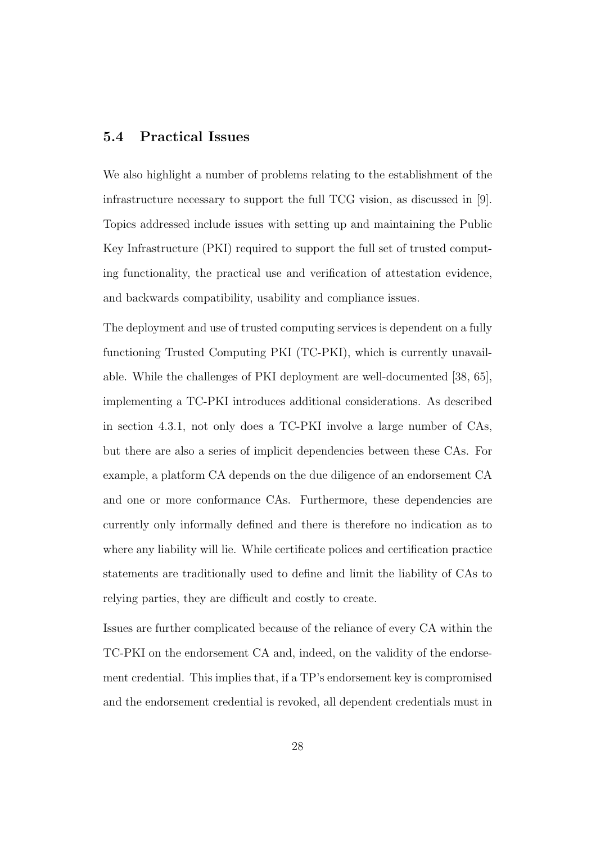### 5.4 Practical Issues

We also highlight a number of problems relating to the establishment of the infrastructure necessary to support the full TCG vision, as discussed in [9]. Topics addressed include issues with setting up and maintaining the Public Key Infrastructure (PKI) required to support the full set of trusted computing functionality, the practical use and verification of attestation evidence, and backwards compatibility, usability and compliance issues.

The deployment and use of trusted computing services is dependent on a fully functioning Trusted Computing PKI (TC-PKI), which is currently unavailable. While the challenges of PKI deployment are well-documented [38, 65], implementing a TC-PKI introduces additional considerations. As described in section 4.3.1, not only does a TC-PKI involve a large number of CAs, but there are also a series of implicit dependencies between these CAs. For example, a platform CA depends on the due diligence of an endorsement CA and one or more conformance CAs. Furthermore, these dependencies are currently only informally defined and there is therefore no indication as to where any liability will lie. While certificate polices and certification practice statements are traditionally used to define and limit the liability of CAs to relying parties, they are difficult and costly to create.

Issues are further complicated because of the reliance of every CA within the TC-PKI on the endorsement CA and, indeed, on the validity of the endorsement credential. This implies that, if a TP's endorsement key is compromised and the endorsement credential is revoked, all dependent credentials must in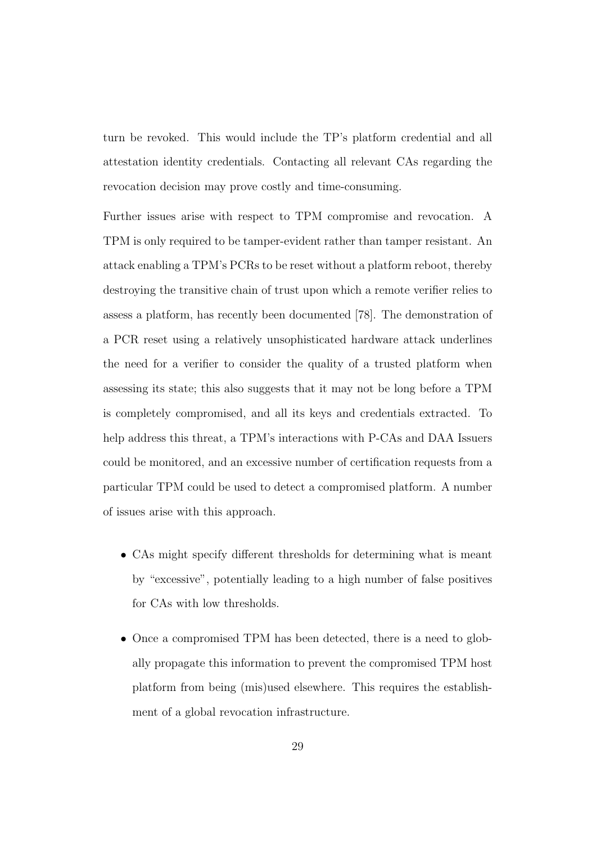turn be revoked. This would include the TP's platform credential and all attestation identity credentials. Contacting all relevant CAs regarding the revocation decision may prove costly and time-consuming.

Further issues arise with respect to TPM compromise and revocation. A TPM is only required to be tamper-evident rather than tamper resistant. An attack enabling a TPM's PCRs to be reset without a platform reboot, thereby destroying the transitive chain of trust upon which a remote verifier relies to assess a platform, has recently been documented [78]. The demonstration of a PCR reset using a relatively unsophisticated hardware attack underlines the need for a verifier to consider the quality of a trusted platform when assessing its state; this also suggests that it may not be long before a TPM is completely compromised, and all its keys and credentials extracted. To help address this threat, a TPM's interactions with P-CAs and DAA Issuers could be monitored, and an excessive number of certification requests from a particular TPM could be used to detect a compromised platform. A number of issues arise with this approach.

- CAs might specify different thresholds for determining what is meant by "excessive", potentially leading to a high number of false positives for CAs with low thresholds.
- Once a compromised TPM has been detected, there is a need to globally propagate this information to prevent the compromised TPM host platform from being (mis)used elsewhere. This requires the establishment of a global revocation infrastructure.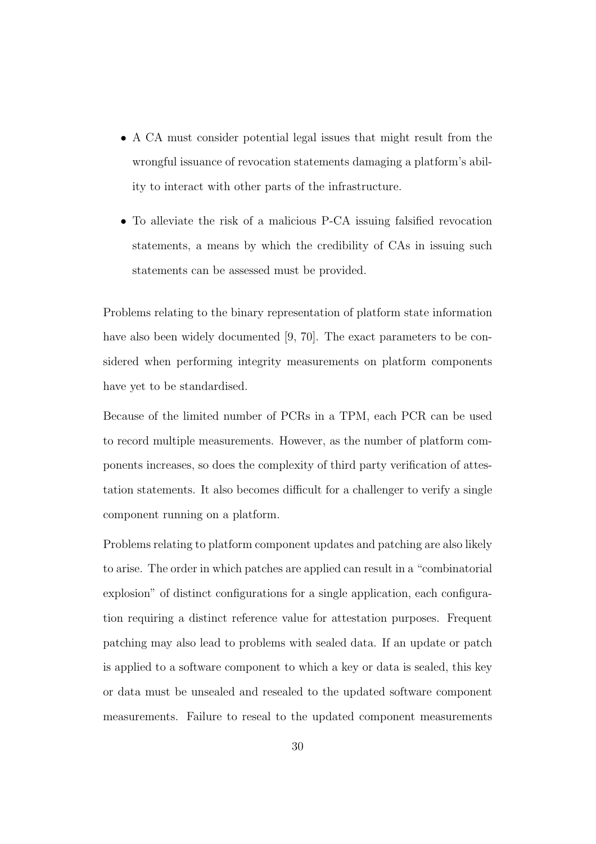- A CA must consider potential legal issues that might result from the wrongful issuance of revocation statements damaging a platform's ability to interact with other parts of the infrastructure.
- To alleviate the risk of a malicious P-CA issuing falsified revocation statements, a means by which the credibility of CAs in issuing such statements can be assessed must be provided.

Problems relating to the binary representation of platform state information have also been widely documented [9, 70]. The exact parameters to be considered when performing integrity measurements on platform components have yet to be standardised.

Because of the limited number of PCRs in a TPM, each PCR can be used to record multiple measurements. However, as the number of platform components increases, so does the complexity of third party verification of attestation statements. It also becomes difficult for a challenger to verify a single component running on a platform.

Problems relating to platform component updates and patching are also likely to arise. The order in which patches are applied can result in a "combinatorial explosion" of distinct configurations for a single application, each configuration requiring a distinct reference value for attestation purposes. Frequent patching may also lead to problems with sealed data. If an update or patch is applied to a software component to which a key or data is sealed, this key or data must be unsealed and resealed to the updated software component measurements. Failure to reseal to the updated component measurements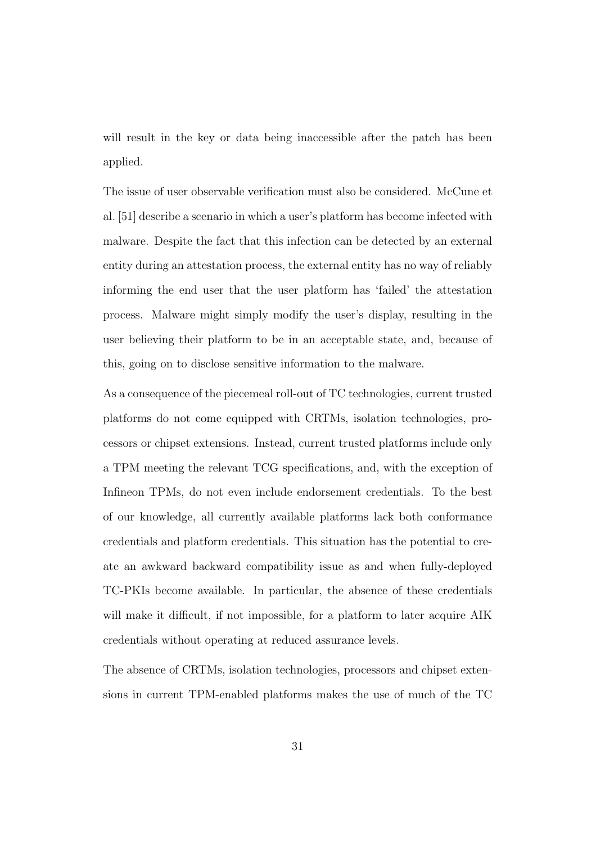will result in the key or data being inaccessible after the patch has been applied.

The issue of user observable verification must also be considered. McCune et al. [51] describe a scenario in which a user's platform has become infected with malware. Despite the fact that this infection can be detected by an external entity during an attestation process, the external entity has no way of reliably informing the end user that the user platform has 'failed' the attestation process. Malware might simply modify the user's display, resulting in the user believing their platform to be in an acceptable state, and, because of this, going on to disclose sensitive information to the malware.

As a consequence of the piecemeal roll-out of TC technologies, current trusted platforms do not come equipped with CRTMs, isolation technologies, processors or chipset extensions. Instead, current trusted platforms include only a TPM meeting the relevant TCG specifications, and, with the exception of Infineon TPMs, do not even include endorsement credentials. To the best of our knowledge, all currently available platforms lack both conformance credentials and platform credentials. This situation has the potential to create an awkward backward compatibility issue as and when fully-deployed TC-PKIs become available. In particular, the absence of these credentials will make it difficult, if not impossible, for a platform to later acquire AIK credentials without operating at reduced assurance levels.

The absence of CRTMs, isolation technologies, processors and chipset extensions in current TPM-enabled platforms makes the use of much of the TC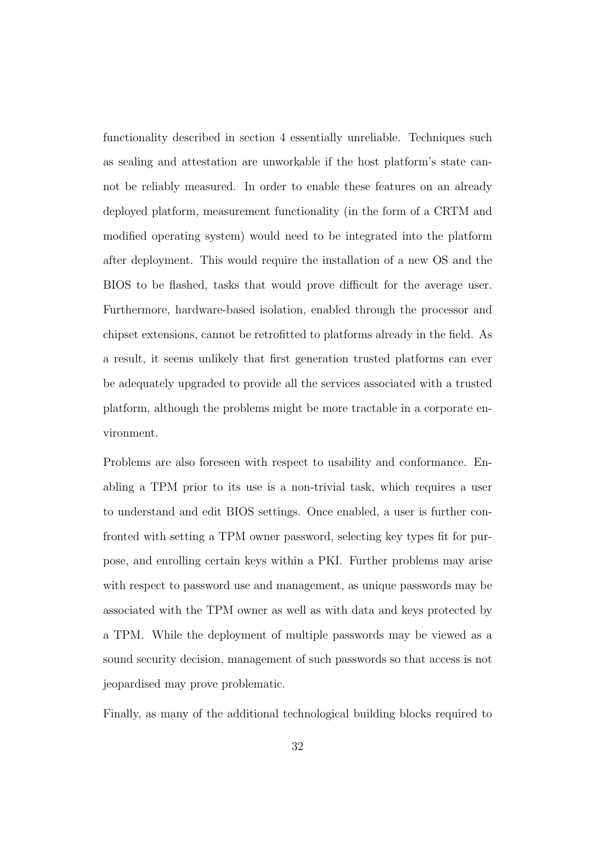functionality described in section 4 essentially unreliable. Techniques such as sealing and attestation are unworkable if the host platform's state cannot be reliably measured. In order to enable these features on an already deployed platform, measurement functionality (in the form of a CRTM and modified operating system) would need to be integrated into the platform after deployment. This would require the installation of a new OS and the BIOS to be flashed, tasks that would prove difficult for the average user. Furthermore, hardware-based isolation, enabled through the processor and chipset extensions, cannot be retrofitted to platforms already in the field. As a result, it seems unlikely that first generation trusted platforms can ever be adequately upgraded to provide all the services associated with a trusted platform, although the problems might be more tractable in a corporate environment.

Problems are also foreseen with respect to usability and conformance. Enabling a TPM prior to its use is a non-trivial task, which requires a user to understand and edit BIOS settings. Once enabled, a user is further confronted with setting a TPM owner password, selecting key types fit for purpose, and enrolling certain keys within a PKI. Further problems may arise with respect to password use and management, as unique passwords may be associated with the TPM owner as well as with data and keys protected by a TPM. While the deployment of multiple passwords may be viewed as a sound security decision, management of such passwords so that access is not jeopardised may prove problematic.

Finally, as many of the additional technological building blocks required to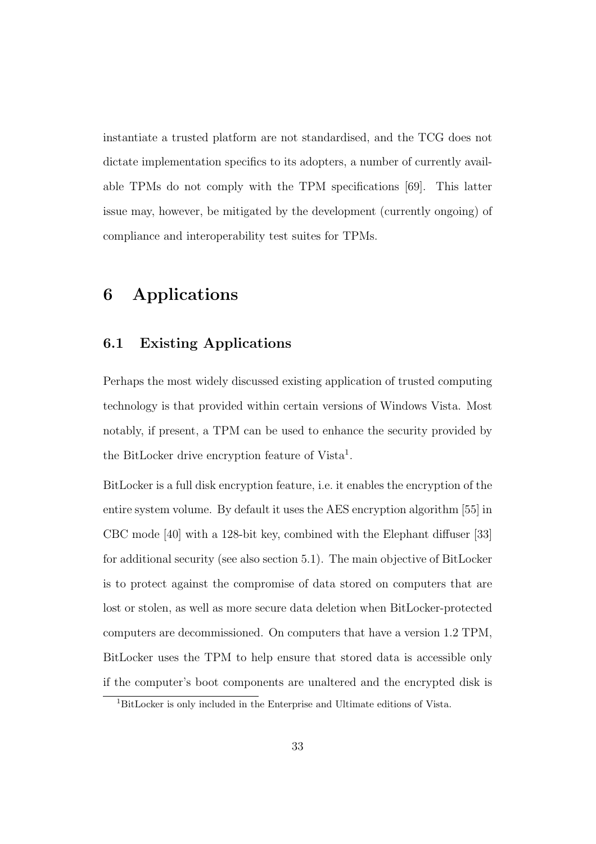instantiate a trusted platform are not standardised, and the TCG does not dictate implementation specifics to its adopters, a number of currently available TPMs do not comply with the TPM specifications [69]. This latter issue may, however, be mitigated by the development (currently ongoing) of compliance and interoperability test suites for TPMs.

# 6 Applications

### 6.1 Existing Applications

Perhaps the most widely discussed existing application of trusted computing technology is that provided within certain versions of Windows Vista. Most notably, if present, a TPM can be used to enhance the security provided by the BitLocker drive encryption feature of Vista<sup>1</sup>.

BitLocker is a full disk encryption feature, i.e. it enables the encryption of the entire system volume. By default it uses the AES encryption algorithm [55] in CBC mode [40] with a 128-bit key, combined with the Elephant diffuser [33] for additional security (see also section 5.1). The main objective of BitLocker is to protect against the compromise of data stored on computers that are lost or stolen, as well as more secure data deletion when BitLocker-protected computers are decommissioned. On computers that have a version 1.2 TPM, BitLocker uses the TPM to help ensure that stored data is accessible only if the computer's boot components are unaltered and the encrypted disk is

<sup>1</sup>BitLocker is only included in the Enterprise and Ultimate editions of Vista.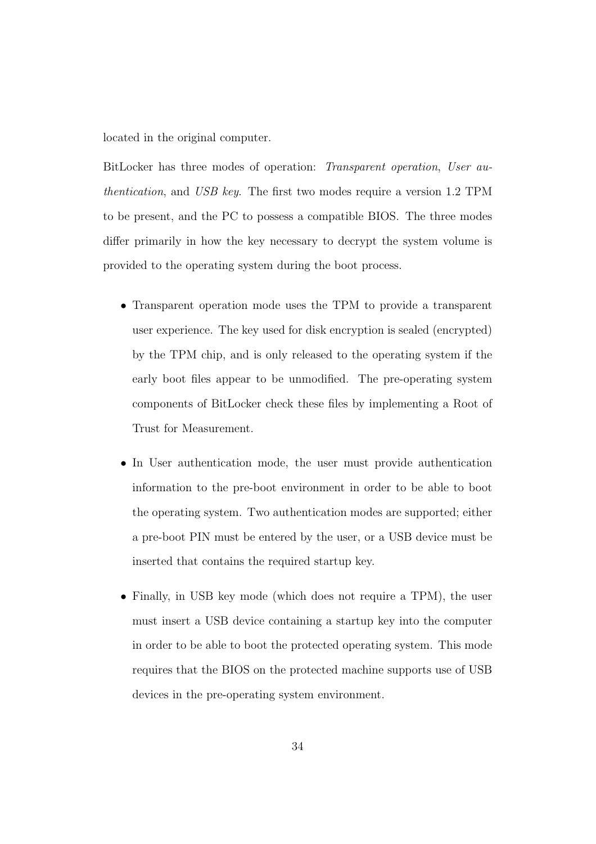located in the original computer.

BitLocker has three modes of operation: Transparent operation, User authentication, and USB key. The first two modes require a version 1.2 TPM to be present, and the PC to possess a compatible BIOS. The three modes differ primarily in how the key necessary to decrypt the system volume is provided to the operating system during the boot process.

- Transparent operation mode uses the TPM to provide a transparent user experience. The key used for disk encryption is sealed (encrypted) by the TPM chip, and is only released to the operating system if the early boot files appear to be unmodified. The pre-operating system components of BitLocker check these files by implementing a Root of Trust for Measurement.
- In User authentication mode, the user must provide authentication information to the pre-boot environment in order to be able to boot the operating system. Two authentication modes are supported; either a pre-boot PIN must be entered by the user, or a USB device must be inserted that contains the required startup key.
- Finally, in USB key mode (which does not require a TPM), the user must insert a USB device containing a startup key into the computer in order to be able to boot the protected operating system. This mode requires that the BIOS on the protected machine supports use of USB devices in the pre-operating system environment.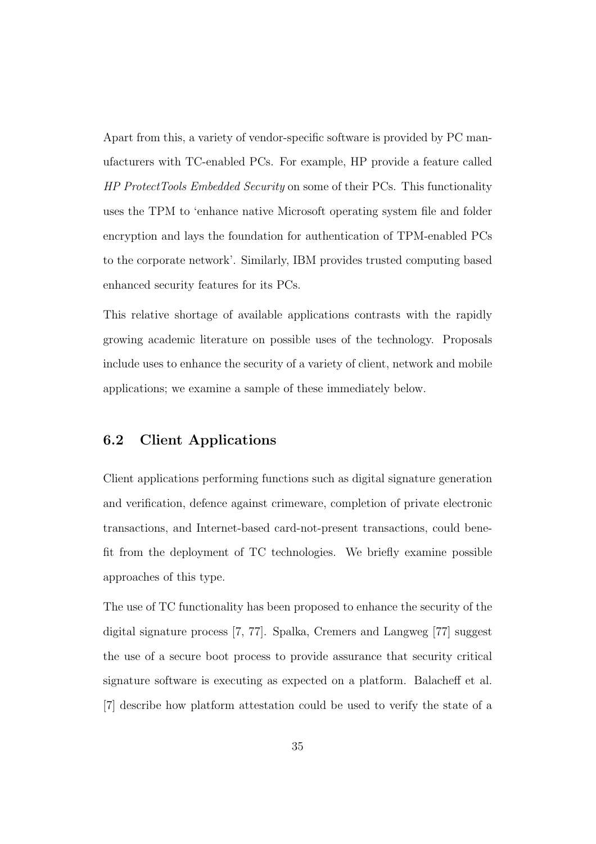Apart from this, a variety of vendor-specific software is provided by PC manufacturers with TC-enabled PCs. For example, HP provide a feature called HP ProtectTools Embedded Security on some of their PCs. This functionality uses the TPM to 'enhance native Microsoft operating system file and folder encryption and lays the foundation for authentication of TPM-enabled PCs to the corporate network'. Similarly, IBM provides trusted computing based enhanced security features for its PCs.

This relative shortage of available applications contrasts with the rapidly growing academic literature on possible uses of the technology. Proposals include uses to enhance the security of a variety of client, network and mobile applications; we examine a sample of these immediately below.

### 6.2 Client Applications

Client applications performing functions such as digital signature generation and verification, defence against crimeware, completion of private electronic transactions, and Internet-based card-not-present transactions, could benefit from the deployment of TC technologies. We briefly examine possible approaches of this type.

The use of TC functionality has been proposed to enhance the security of the digital signature process [7, 77]. Spalka, Cremers and Langweg [77] suggest the use of a secure boot process to provide assurance that security critical signature software is executing as expected on a platform. Balacheff et al. [7] describe how platform attestation could be used to verify the state of a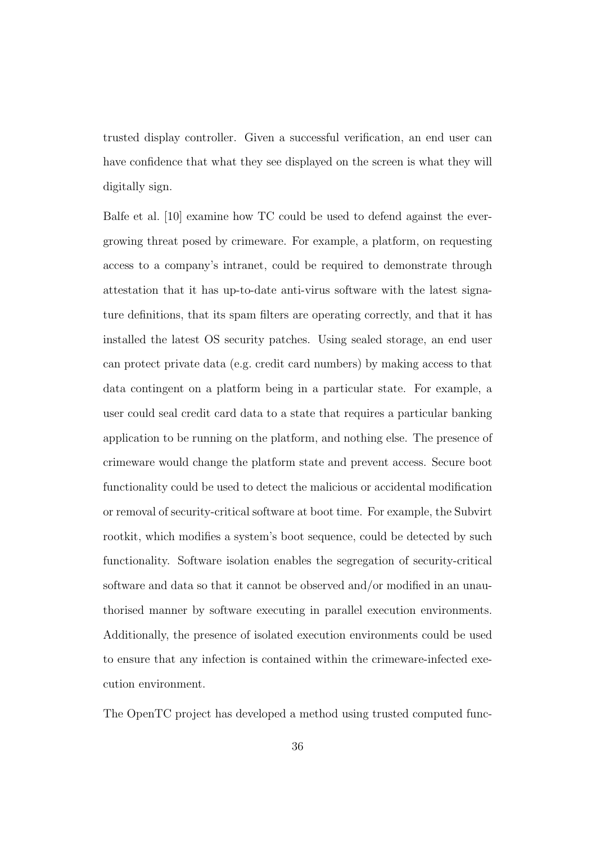trusted display controller. Given a successful verification, an end user can have confidence that what they see displayed on the screen is what they will digitally sign.

Balfe et al. [10] examine how TC could be used to defend against the evergrowing threat posed by crimeware. For example, a platform, on requesting access to a company's intranet, could be required to demonstrate through attestation that it has up-to-date anti-virus software with the latest signature definitions, that its spam filters are operating correctly, and that it has installed the latest OS security patches. Using sealed storage, an end user can protect private data (e.g. credit card numbers) by making access to that data contingent on a platform being in a particular state. For example, a user could seal credit card data to a state that requires a particular banking application to be running on the platform, and nothing else. The presence of crimeware would change the platform state and prevent access. Secure boot functionality could be used to detect the malicious or accidental modification or removal of security-critical software at boot time. For example, the Subvirt rootkit, which modifies a system's boot sequence, could be detected by such functionality. Software isolation enables the segregation of security-critical software and data so that it cannot be observed and/or modified in an unauthorised manner by software executing in parallel execution environments. Additionally, the presence of isolated execution environments could be used to ensure that any infection is contained within the crimeware-infected execution environment.

The OpenTC project has developed a method using trusted computed func-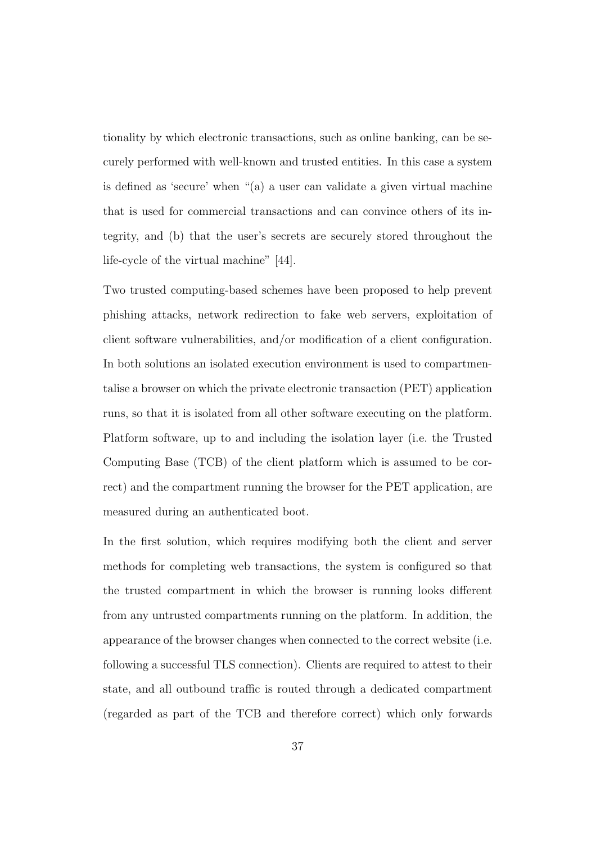tionality by which electronic transactions, such as online banking, can be securely performed with well-known and trusted entities. In this case a system is defined as 'secure' when "(a) a user can validate a given virtual machine that is used for commercial transactions and can convince others of its integrity, and (b) that the user's secrets are securely stored throughout the life-cycle of the virtual machine" [44].

Two trusted computing-based schemes have been proposed to help prevent phishing attacks, network redirection to fake web servers, exploitation of client software vulnerabilities, and/or modification of a client configuration. In both solutions an isolated execution environment is used to compartmentalise a browser on which the private electronic transaction (PET) application runs, so that it is isolated from all other software executing on the platform. Platform software, up to and including the isolation layer (i.e. the Trusted Computing Base (TCB) of the client platform which is assumed to be correct) and the compartment running the browser for the PET application, are measured during an authenticated boot.

In the first solution, which requires modifying both the client and server methods for completing web transactions, the system is configured so that the trusted compartment in which the browser is running looks different from any untrusted compartments running on the platform. In addition, the appearance of the browser changes when connected to the correct website (i.e. following a successful TLS connection). Clients are required to attest to their state, and all outbound traffic is routed through a dedicated compartment (regarded as part of the TCB and therefore correct) which only forwards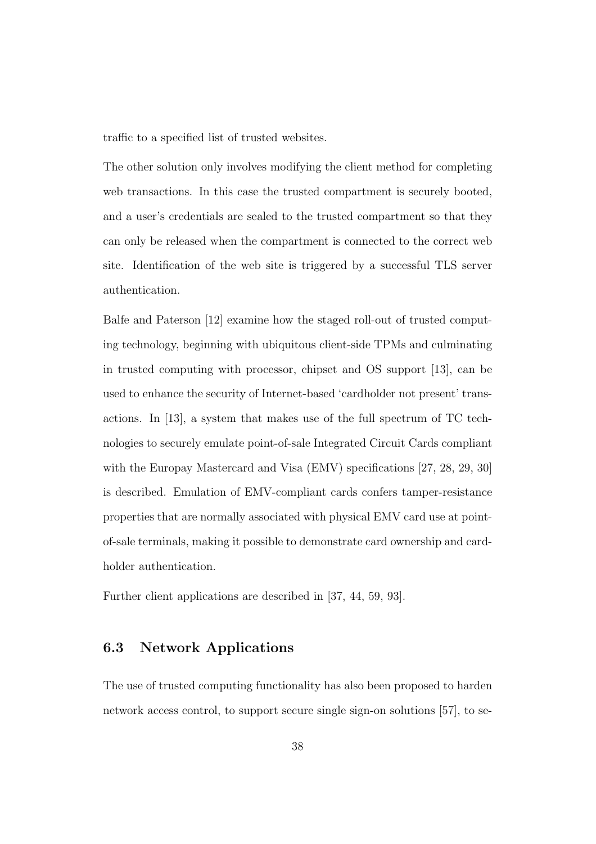traffic to a specified list of trusted websites.

The other solution only involves modifying the client method for completing web transactions. In this case the trusted compartment is securely booted, and a user's credentials are sealed to the trusted compartment so that they can only be released when the compartment is connected to the correct web site. Identification of the web site is triggered by a successful TLS server authentication.

Balfe and Paterson [12] examine how the staged roll-out of trusted computing technology, beginning with ubiquitous client-side TPMs and culminating in trusted computing with processor, chipset and OS support [13], can be used to enhance the security of Internet-based 'cardholder not present' transactions. In [13], a system that makes use of the full spectrum of TC technologies to securely emulate point-of-sale Integrated Circuit Cards compliant with the Europay Mastercard and Visa (EMV) specifications [27, 28, 29, 30] is described. Emulation of EMV-compliant cards confers tamper-resistance properties that are normally associated with physical EMV card use at pointof-sale terminals, making it possible to demonstrate card ownership and cardholder authentication.

Further client applications are described in [37, 44, 59, 93].

### 6.3 Network Applications

The use of trusted computing functionality has also been proposed to harden network access control, to support secure single sign-on solutions [57], to se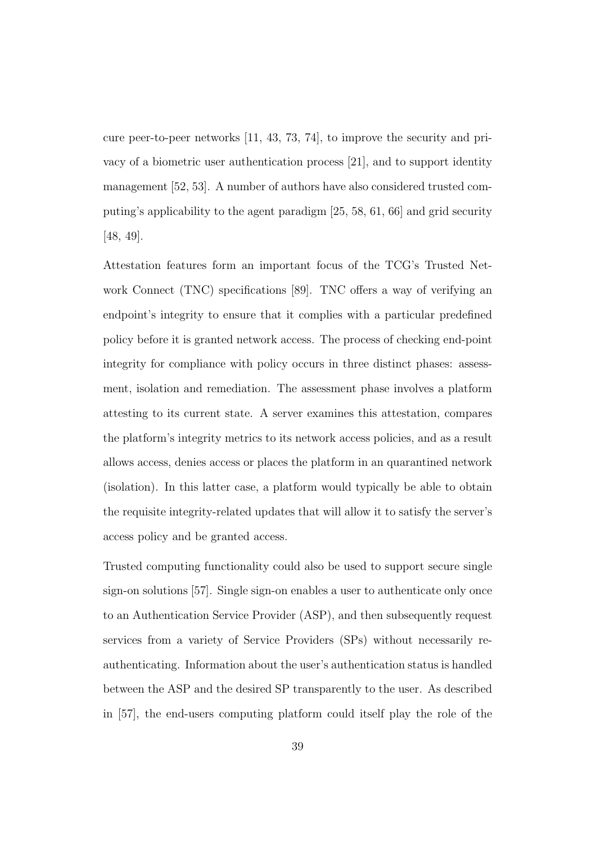cure peer-to-peer networks [11, 43, 73, 74], to improve the security and privacy of a biometric user authentication process [21], and to support identity management [52, 53]. A number of authors have also considered trusted computing's applicability to the agent paradigm [25, 58, 61, 66] and grid security [48, 49].

Attestation features form an important focus of the TCG's Trusted Network Connect (TNC) specifications [89]. TNC offers a way of verifying an endpoint's integrity to ensure that it complies with a particular predefined policy before it is granted network access. The process of checking end-point integrity for compliance with policy occurs in three distinct phases: assessment, isolation and remediation. The assessment phase involves a platform attesting to its current state. A server examines this attestation, compares the platform's integrity metrics to its network access policies, and as a result allows access, denies access or places the platform in an quarantined network (isolation). In this latter case, a platform would typically be able to obtain the requisite integrity-related updates that will allow it to satisfy the server's access policy and be granted access.

Trusted computing functionality could also be used to support secure single sign-on solutions [57]. Single sign-on enables a user to authenticate only once to an Authentication Service Provider (ASP), and then subsequently request services from a variety of Service Providers (SPs) without necessarily reauthenticating. Information about the user's authentication status is handled between the ASP and the desired SP transparently to the user. As described in [57], the end-users computing platform could itself play the role of the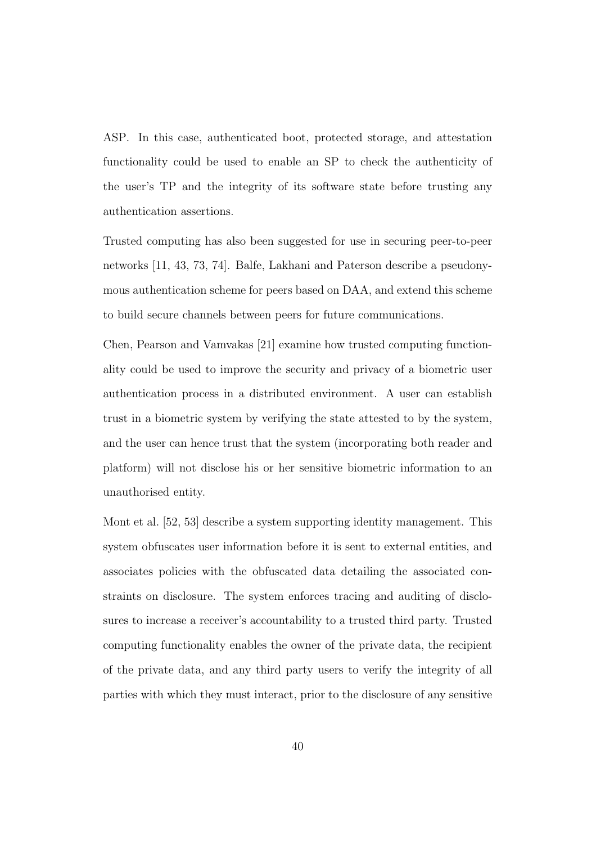ASP. In this case, authenticated boot, protected storage, and attestation functionality could be used to enable an SP to check the authenticity of the user's TP and the integrity of its software state before trusting any authentication assertions.

Trusted computing has also been suggested for use in securing peer-to-peer networks [11, 43, 73, 74]. Balfe, Lakhani and Paterson describe a pseudonymous authentication scheme for peers based on DAA, and extend this scheme to build secure channels between peers for future communications.

Chen, Pearson and Vamvakas [21] examine how trusted computing functionality could be used to improve the security and privacy of a biometric user authentication process in a distributed environment. A user can establish trust in a biometric system by verifying the state attested to by the system, and the user can hence trust that the system (incorporating both reader and platform) will not disclose his or her sensitive biometric information to an unauthorised entity.

Mont et al. [52, 53] describe a system supporting identity management. This system obfuscates user information before it is sent to external entities, and associates policies with the obfuscated data detailing the associated constraints on disclosure. The system enforces tracing and auditing of disclosures to increase a receiver's accountability to a trusted third party. Trusted computing functionality enables the owner of the private data, the recipient of the private data, and any third party users to verify the integrity of all parties with which they must interact, prior to the disclosure of any sensitive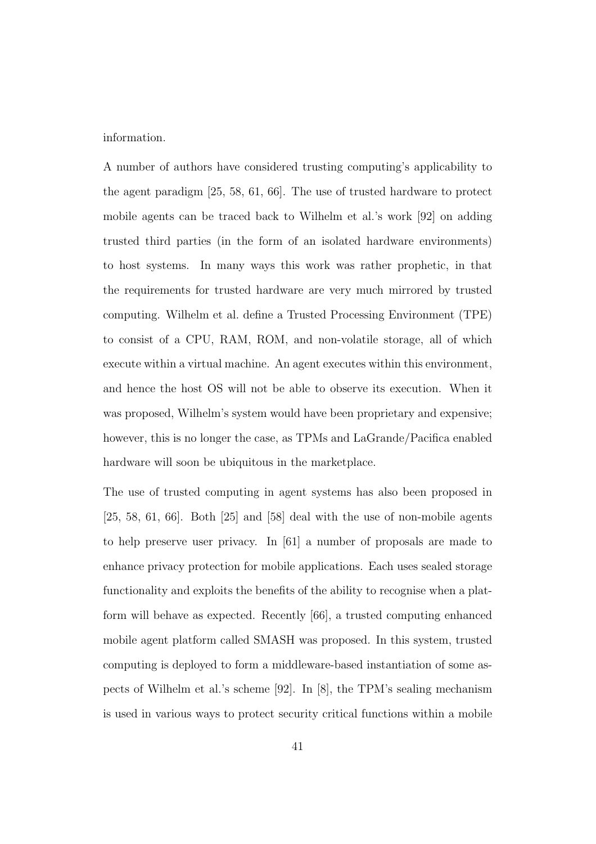information.

A number of authors have considered trusting computing's applicability to the agent paradigm [25, 58, 61, 66]. The use of trusted hardware to protect mobile agents can be traced back to Wilhelm et al.'s work [92] on adding trusted third parties (in the form of an isolated hardware environments) to host systems. In many ways this work was rather prophetic, in that the requirements for trusted hardware are very much mirrored by trusted computing. Wilhelm et al. define a Trusted Processing Environment (TPE) to consist of a CPU, RAM, ROM, and non-volatile storage, all of which execute within a virtual machine. An agent executes within this environment, and hence the host OS will not be able to observe its execution. When it was proposed, Wilhelm's system would have been proprietary and expensive; however, this is no longer the case, as TPMs and LaGrande/Pacifica enabled hardware will soon be ubiquitous in the marketplace.

The use of trusted computing in agent systems has also been proposed in  $[25, 58, 61, 66]$ . Both  $[25]$  and  $[58]$  deal with the use of non-mobile agents to help preserve user privacy. In [61] a number of proposals are made to enhance privacy protection for mobile applications. Each uses sealed storage functionality and exploits the benefits of the ability to recognise when a platform will behave as expected. Recently [66], a trusted computing enhanced mobile agent platform called SMASH was proposed. In this system, trusted computing is deployed to form a middleware-based instantiation of some aspects of Wilhelm et al.'s scheme [92]. In [8], the TPM's sealing mechanism is used in various ways to protect security critical functions within a mobile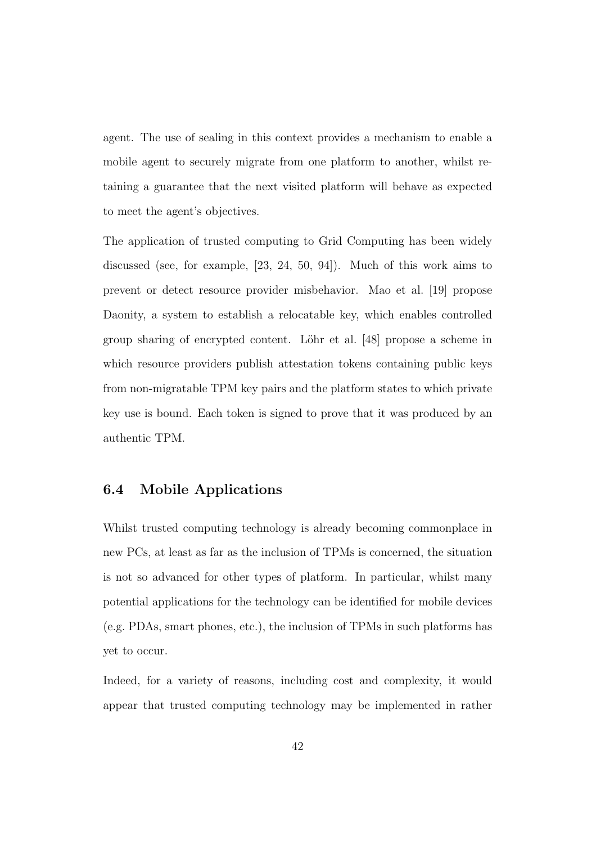agent. The use of sealing in this context provides a mechanism to enable a mobile agent to securely migrate from one platform to another, whilst retaining a guarantee that the next visited platform will behave as expected to meet the agent's objectives.

The application of trusted computing to Grid Computing has been widely discussed (see, for example, [23, 24, 50, 94]). Much of this work aims to prevent or detect resource provider misbehavior. Mao et al. [19] propose Daonity, a system to establish a relocatable key, which enables controlled group sharing of encrypted content. Löhr et al. [48] propose a scheme in which resource providers publish attestation tokens containing public keys from non-migratable TPM key pairs and the platform states to which private key use is bound. Each token is signed to prove that it was produced by an authentic TPM.

### 6.4 Mobile Applications

Whilst trusted computing technology is already becoming commonplace in new PCs, at least as far as the inclusion of TPMs is concerned, the situation is not so advanced for other types of platform. In particular, whilst many potential applications for the technology can be identified for mobile devices (e.g. PDAs, smart phones, etc.), the inclusion of TPMs in such platforms has yet to occur.

Indeed, for a variety of reasons, including cost and complexity, it would appear that trusted computing technology may be implemented in rather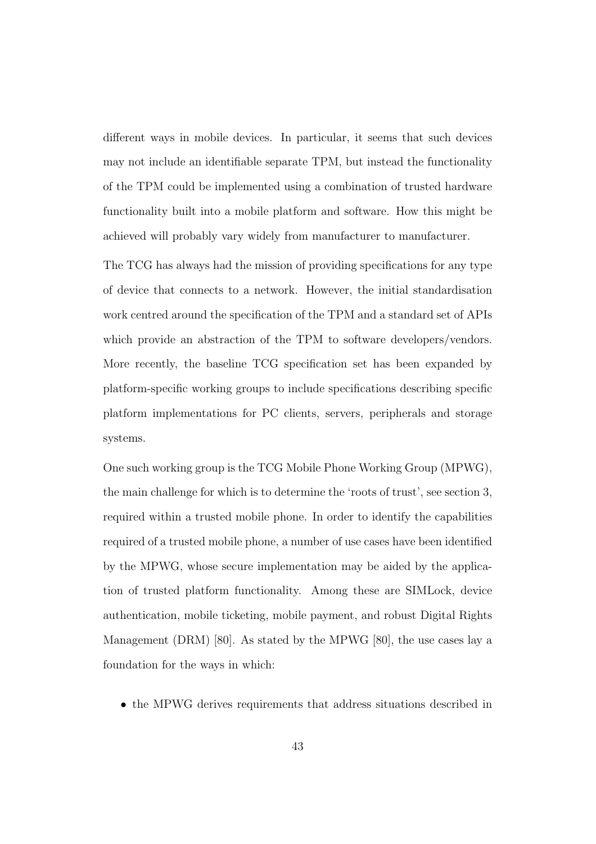different ways in mobile devices. In particular, it seems that such devices may not include an identifiable separate TPM, but instead the functionality of the TPM could be implemented using a combination of trusted hardware functionality built into a mobile platform and software. How this might be achieved will probably vary widely from manufacturer to manufacturer.

The TCG has always had the mission of providing specifications for any type of device that connects to a network. However, the initial standardisation work centred around the specification of the TPM and a standard set of APIs which provide an abstraction of the TPM to software developers/vendors. More recently, the baseline TCG specification set has been expanded by platform-specific working groups to include specifications describing specific platform implementations for PC clients, servers, peripherals and storage systems.

One such working group is the TCG Mobile Phone Working Group (MPWG), the main challenge for which is to determine the 'roots of trust', see section 3, required within a trusted mobile phone. In order to identify the capabilities required of a trusted mobile phone, a number of use cases have been identified by the MPWG, whose secure implementation may be aided by the application of trusted platform functionality. Among these are SIMLock, device authentication, mobile ticketing, mobile payment, and robust Digital Rights Management (DRM) [80]. As stated by the MPWG [80], the use cases lay a foundation for the ways in which:

• the MPWG derives requirements that address situations described in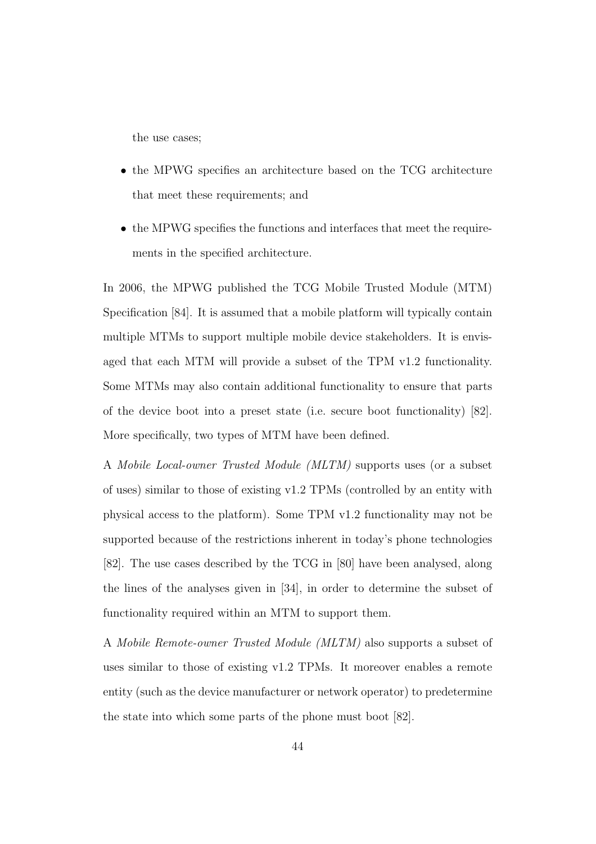the use cases;

- the MPWG specifies an architecture based on the TCG architecture that meet these requirements; and
- the MPWG specifies the functions and interfaces that meet the requirements in the specified architecture.

In 2006, the MPWG published the TCG Mobile Trusted Module (MTM) Specification [84]. It is assumed that a mobile platform will typically contain multiple MTMs to support multiple mobile device stakeholders. It is envisaged that each MTM will provide a subset of the TPM v1.2 functionality. Some MTMs may also contain additional functionality to ensure that parts of the device boot into a preset state (i.e. secure boot functionality) [82]. More specifically, two types of MTM have been defined.

A Mobile Local-owner Trusted Module (MLTM) supports uses (or a subset of uses) similar to those of existing v1.2 TPMs (controlled by an entity with physical access to the platform). Some TPM v1.2 functionality may not be supported because of the restrictions inherent in today's phone technologies [82]. The use cases described by the TCG in [80] have been analysed, along the lines of the analyses given in [34], in order to determine the subset of functionality required within an MTM to support them.

A Mobile Remote-owner Trusted Module (MLTM) also supports a subset of uses similar to those of existing v1.2 TPMs. It moreover enables a remote entity (such as the device manufacturer or network operator) to predetermine the state into which some parts of the phone must boot [82].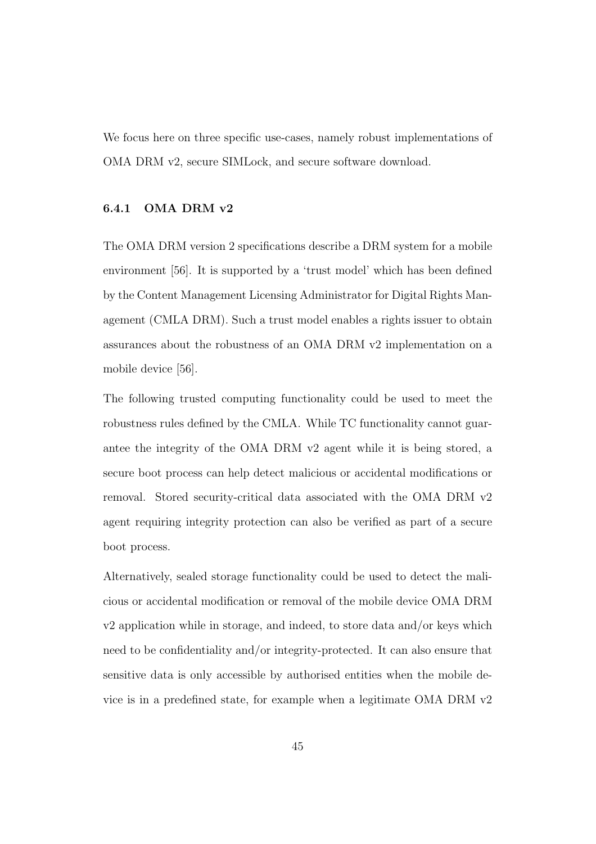We focus here on three specific use-cases, namely robust implementations of OMA DRM v2, secure SIMLock, and secure software download.

#### 6.4.1 OMA DRM v2

The OMA DRM version 2 specifications describe a DRM system for a mobile environment [56]. It is supported by a 'trust model' which has been defined by the Content Management Licensing Administrator for Digital Rights Management (CMLA DRM). Such a trust model enables a rights issuer to obtain assurances about the robustness of an OMA DRM v2 implementation on a mobile device [56].

The following trusted computing functionality could be used to meet the robustness rules defined by the CMLA. While TC functionality cannot guarantee the integrity of the OMA DRM v2 agent while it is being stored, a secure boot process can help detect malicious or accidental modifications or removal. Stored security-critical data associated with the OMA DRM v2 agent requiring integrity protection can also be verified as part of a secure boot process.

Alternatively, sealed storage functionality could be used to detect the malicious or accidental modification or removal of the mobile device OMA DRM v2 application while in storage, and indeed, to store data and/or keys which need to be confidentiality and/or integrity-protected. It can also ensure that sensitive data is only accessible by authorised entities when the mobile device is in a predefined state, for example when a legitimate OMA DRM v2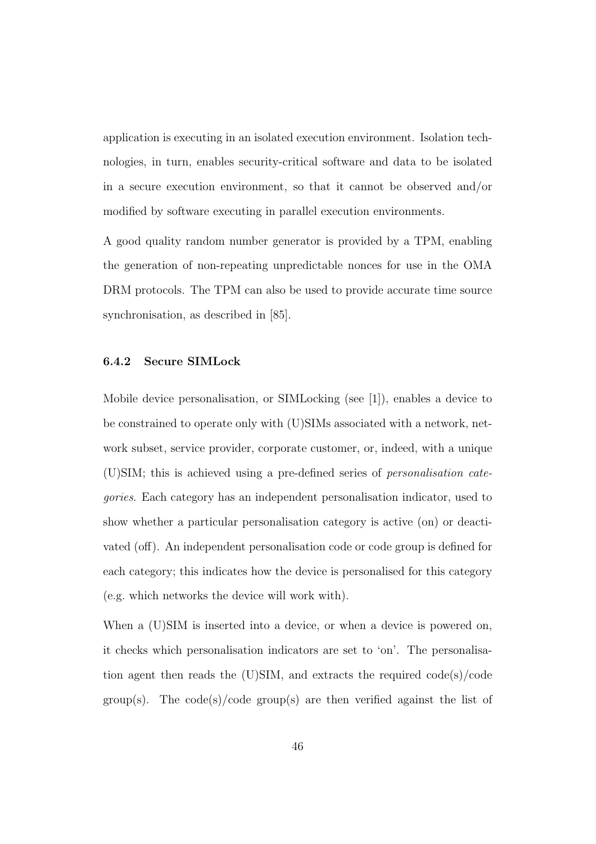application is executing in an isolated execution environment. Isolation technologies, in turn, enables security-critical software and data to be isolated in a secure execution environment, so that it cannot be observed and/or modified by software executing in parallel execution environments.

A good quality random number generator is provided by a TPM, enabling the generation of non-repeating unpredictable nonces for use in the OMA DRM protocols. The TPM can also be used to provide accurate time source synchronisation, as described in [85].

#### 6.4.2 Secure SIMLock

Mobile device personalisation, or SIMLocking (see [1]), enables a device to be constrained to operate only with (U)SIMs associated with a network, network subset, service provider, corporate customer, or, indeed, with a unique (U)SIM; this is achieved using a pre-defined series of personalisation categories. Each category has an independent personalisation indicator, used to show whether a particular personalisation category is active (on) or deactivated (off). An independent personalisation code or code group is defined for each category; this indicates how the device is personalised for this category (e.g. which networks the device will work with).

When a  $(U)$ SIM is inserted into a device, or when a device is powered on, it checks which personalisation indicators are set to 'on'. The personalisation agent then reads the (U)SIM, and extracts the required code(s)/code group(s). The code(s)/code group(s) are then verified against the list of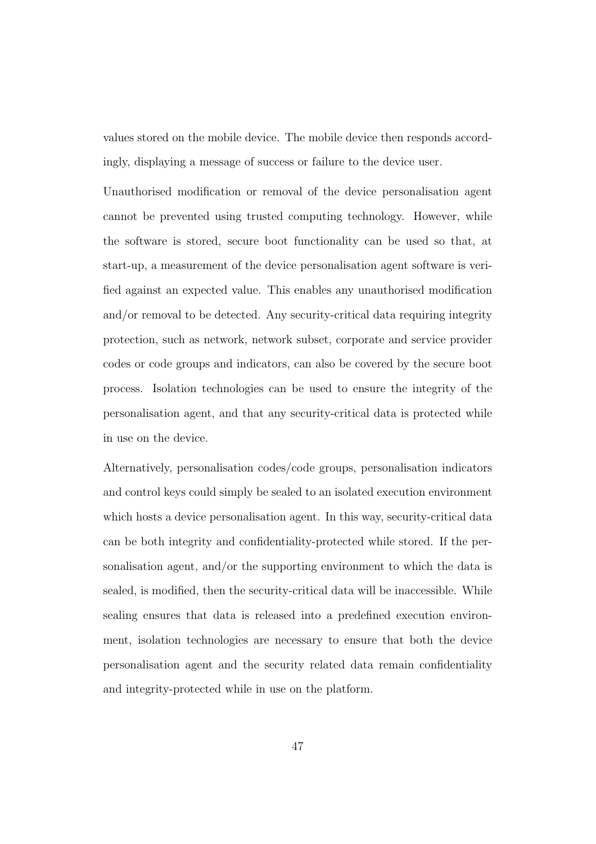values stored on the mobile device. The mobile device then responds accordingly, displaying a message of success or failure to the device user.

Unauthorised modification or removal of the device personalisation agent cannot be prevented using trusted computing technology. However, while the software is stored, secure boot functionality can be used so that, at start-up, a measurement of the device personalisation agent software is verified against an expected value. This enables any unauthorised modification and/or removal to be detected. Any security-critical data requiring integrity protection, such as network, network subset, corporate and service provider codes or code groups and indicators, can also be covered by the secure boot process. Isolation technologies can be used to ensure the integrity of the personalisation agent, and that any security-critical data is protected while in use on the device.

Alternatively, personalisation codes/code groups, personalisation indicators and control keys could simply be sealed to an isolated execution environment which hosts a device personalisation agent. In this way, security-critical data can be both integrity and confidentiality-protected while stored. If the personalisation agent, and/or the supporting environment to which the data is sealed, is modified, then the security-critical data will be inaccessible. While sealing ensures that data is released into a predefined execution environment, isolation technologies are necessary to ensure that both the device personalisation agent and the security related data remain confidentiality and integrity-protected while in use on the platform.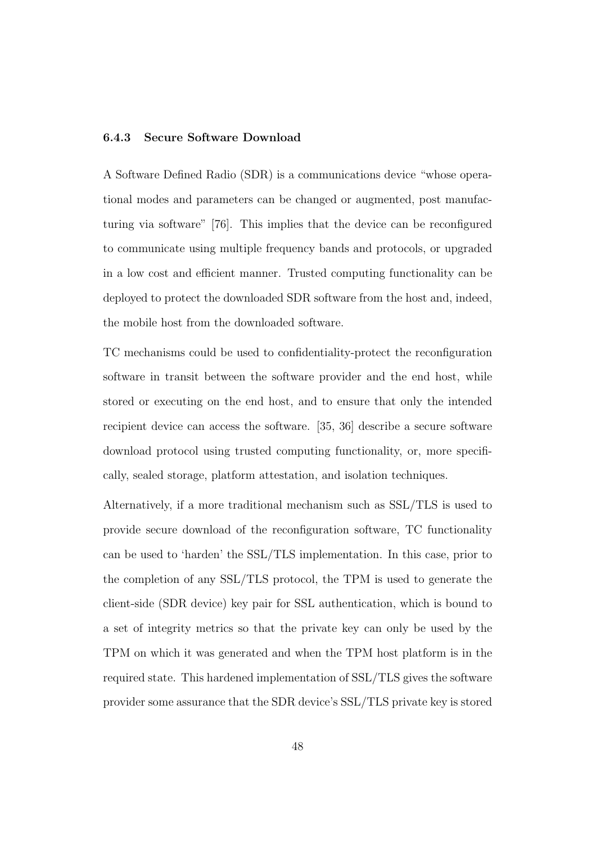#### 6.4.3 Secure Software Download

A Software Defined Radio (SDR) is a communications device "whose operational modes and parameters can be changed or augmented, post manufacturing via software" [76]. This implies that the device can be reconfigured to communicate using multiple frequency bands and protocols, or upgraded in a low cost and efficient manner. Trusted computing functionality can be deployed to protect the downloaded SDR software from the host and, indeed, the mobile host from the downloaded software.

TC mechanisms could be used to confidentiality-protect the reconfiguration software in transit between the software provider and the end host, while stored or executing on the end host, and to ensure that only the intended recipient device can access the software. [35, 36] describe a secure software download protocol using trusted computing functionality, or, more specifically, sealed storage, platform attestation, and isolation techniques.

Alternatively, if a more traditional mechanism such as SSL/TLS is used to provide secure download of the reconfiguration software, TC functionality can be used to 'harden' the SSL/TLS implementation. In this case, prior to the completion of any SSL/TLS protocol, the TPM is used to generate the client-side (SDR device) key pair for SSL authentication, which is bound to a set of integrity metrics so that the private key can only be used by the TPM on which it was generated and when the TPM host platform is in the required state. This hardened implementation of SSL/TLS gives the software provider some assurance that the SDR device's SSL/TLS private key is stored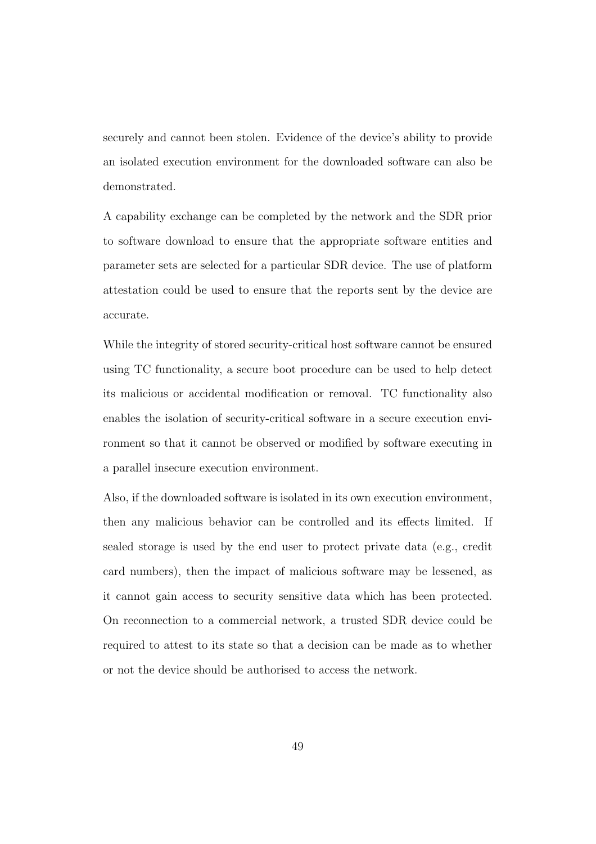securely and cannot been stolen. Evidence of the device's ability to provide an isolated execution environment for the downloaded software can also be demonstrated.

A capability exchange can be completed by the network and the SDR prior to software download to ensure that the appropriate software entities and parameter sets are selected for a particular SDR device. The use of platform attestation could be used to ensure that the reports sent by the device are accurate.

While the integrity of stored security-critical host software cannot be ensured using TC functionality, a secure boot procedure can be used to help detect its malicious or accidental modification or removal. TC functionality also enables the isolation of security-critical software in a secure execution environment so that it cannot be observed or modified by software executing in a parallel insecure execution environment.

Also, if the downloaded software is isolated in its own execution environment, then any malicious behavior can be controlled and its effects limited. If sealed storage is used by the end user to protect private data (e.g., credit card numbers), then the impact of malicious software may be lessened, as it cannot gain access to security sensitive data which has been protected. On reconnection to a commercial network, a trusted SDR device could be required to attest to its state so that a decision can be made as to whether or not the device should be authorised to access the network.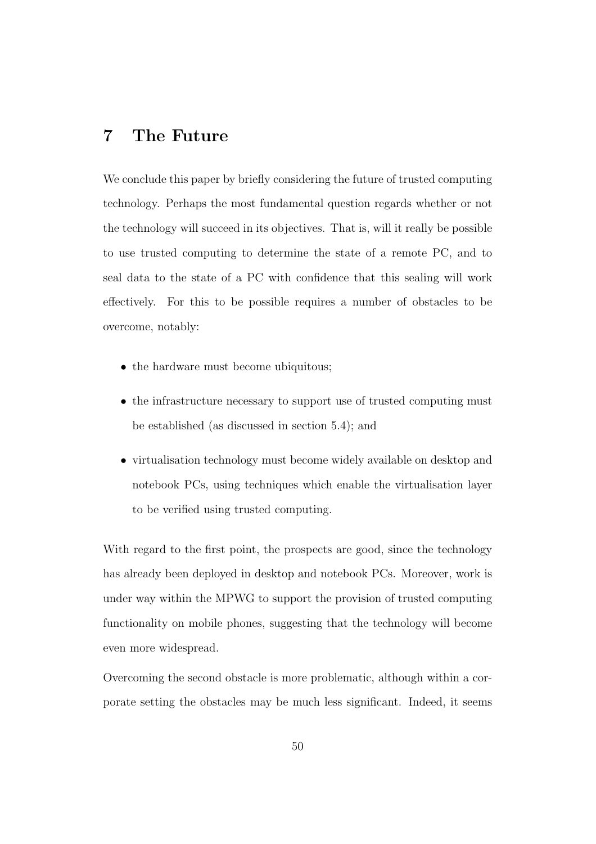# 7 The Future

We conclude this paper by briefly considering the future of trusted computing technology. Perhaps the most fundamental question regards whether or not the technology will succeed in its objectives. That is, will it really be possible to use trusted computing to determine the state of a remote PC, and to seal data to the state of a PC with confidence that this sealing will work effectively. For this to be possible requires a number of obstacles to be overcome, notably:

- the hardware must become ubiquitous;
- the infrastructure necessary to support use of trusted computing must be established (as discussed in section 5.4); and
- virtualisation technology must become widely available on desktop and notebook PCs, using techniques which enable the virtualisation layer to be verified using trusted computing.

With regard to the first point, the prospects are good, since the technology has already been deployed in desktop and notebook PCs. Moreover, work is under way within the MPWG to support the provision of trusted computing functionality on mobile phones, suggesting that the technology will become even more widespread.

Overcoming the second obstacle is more problematic, although within a corporate setting the obstacles may be much less significant. Indeed, it seems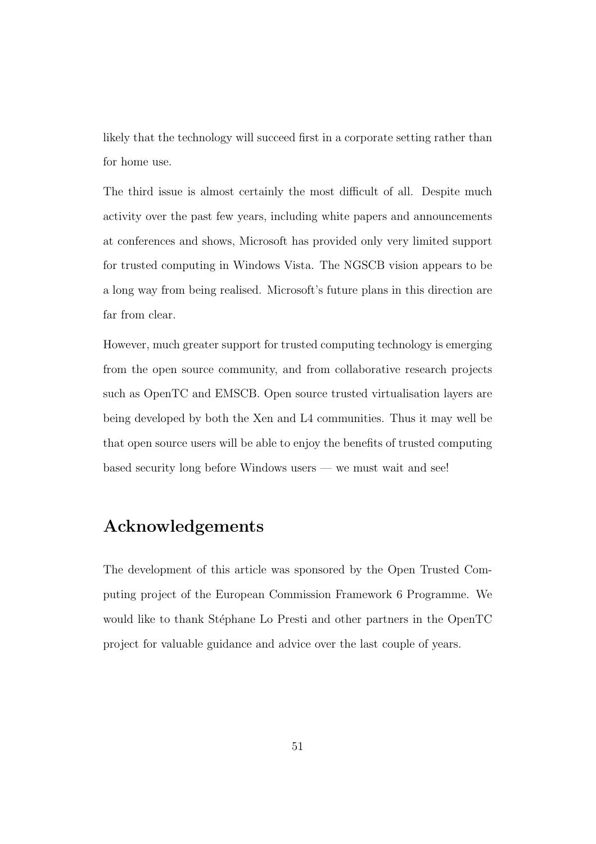likely that the technology will succeed first in a corporate setting rather than for home use.

The third issue is almost certainly the most difficult of all. Despite much activity over the past few years, including white papers and announcements at conferences and shows, Microsoft has provided only very limited support for trusted computing in Windows Vista. The NGSCB vision appears to be a long way from being realised. Microsoft's future plans in this direction are far from clear.

However, much greater support for trusted computing technology is emerging from the open source community, and from collaborative research projects such as OpenTC and EMSCB. Open source trusted virtualisation layers are being developed by both the Xen and L4 communities. Thus it may well be that open source users will be able to enjoy the benefits of trusted computing based security long before Windows users — we must wait and see!

# Acknowledgements

The development of this article was sponsored by the Open Trusted Computing project of the European Commission Framework 6 Programme. We would like to thank Stéphane Lo Presti and other partners in the OpenTC project for valuable guidance and advice over the last couple of years.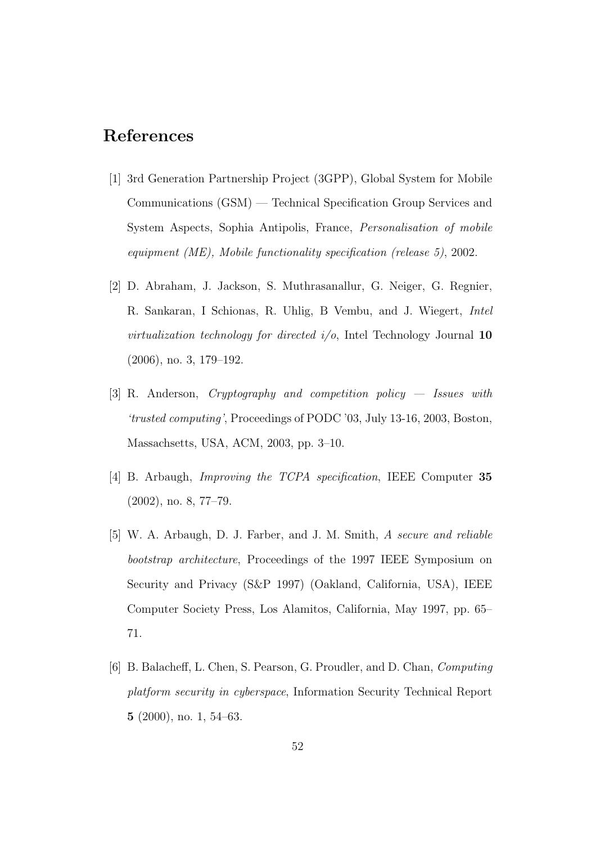# References

- [1] 3rd Generation Partnership Project (3GPP), Global System for Mobile Communications (GSM) — Technical Specification Group Services and System Aspects, Sophia Antipolis, France, Personalisation of mobile equipment (ME), Mobile functionality specification (release 5), 2002.
- [2] D. Abraham, J. Jackson, S. Muthrasanallur, G. Neiger, G. Regnier, R. Sankaran, I Schionas, R. Uhlig, B Vembu, and J. Wiegert, Intel virtualization technology for directed  $i/o$ , Intel Technology Journal 10 (2006), no. 3, 179–192.
- [3] R. Anderson, Cryptography and competition policy Issues with 'trusted computing', Proceedings of PODC '03, July 13-16, 2003, Boston, Massachsetts, USA, ACM, 2003, pp. 3–10.
- [4] B. Arbaugh, *Improving the TCPA specification*, IEEE Computer 35 (2002), no. 8, 77–79.
- [5] W. A. Arbaugh, D. J. Farber, and J. M. Smith, A secure and reliable bootstrap architecture, Proceedings of the 1997 IEEE Symposium on Security and Privacy (S&P 1997) (Oakland, California, USA), IEEE Computer Society Press, Los Alamitos, California, May 1997, pp. 65– 71.
- [6] B. Balacheff, L. Chen, S. Pearson, G. Proudler, and D. Chan, Computing platform security in cyberspace, Information Security Technical Report 5 (2000), no. 1, 54–63.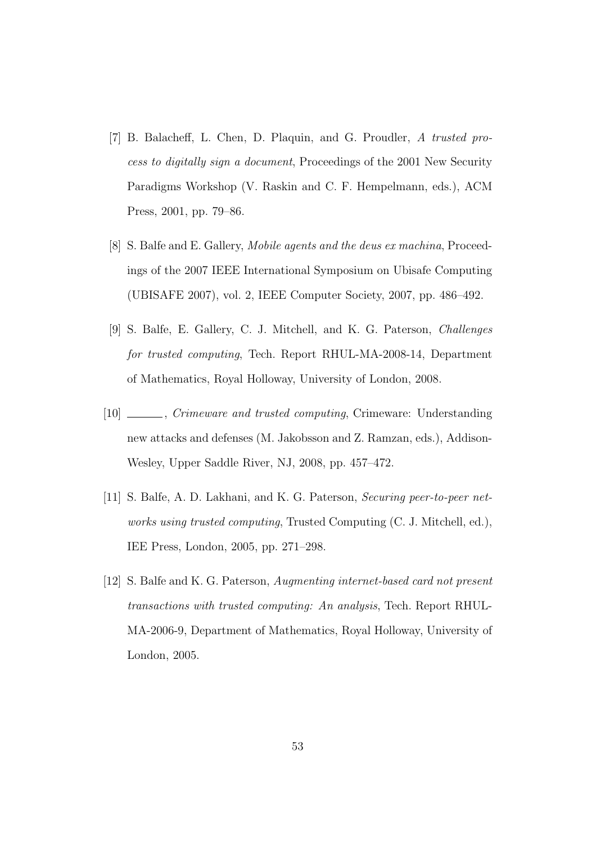- [7] B. Balacheff, L. Chen, D. Plaquin, and G. Proudler, A trusted process to digitally sign a document, Proceedings of the 2001 New Security Paradigms Workshop (V. Raskin and C. F. Hempelmann, eds.), ACM Press, 2001, pp. 79–86.
- [8] S. Balfe and E. Gallery, Mobile agents and the deus ex machina, Proceedings of the 2007 IEEE International Symposium on Ubisafe Computing (UBISAFE 2007), vol. 2, IEEE Computer Society, 2007, pp. 486–492.
- [9] S. Balfe, E. Gallery, C. J. Mitchell, and K. G. Paterson, Challenges for trusted computing, Tech. Report RHUL-MA-2008-14, Department of Mathematics, Royal Holloway, University of London, 2008.
- [10] , Crimeware and trusted computing, Crimeware: Understanding new attacks and defenses (M. Jakobsson and Z. Ramzan, eds.), Addison-Wesley, Upper Saddle River, NJ, 2008, pp. 457–472.
- [11] S. Balfe, A. D. Lakhani, and K. G. Paterson, Securing peer-to-peer networks using trusted computing, Trusted Computing (C. J. Mitchell, ed.), IEE Press, London, 2005, pp. 271–298.
- [12] S. Balfe and K. G. Paterson, Augmenting internet-based card not present transactions with trusted computing: An analysis, Tech. Report RHUL-MA-2006-9, Department of Mathematics, Royal Holloway, University of London, 2005.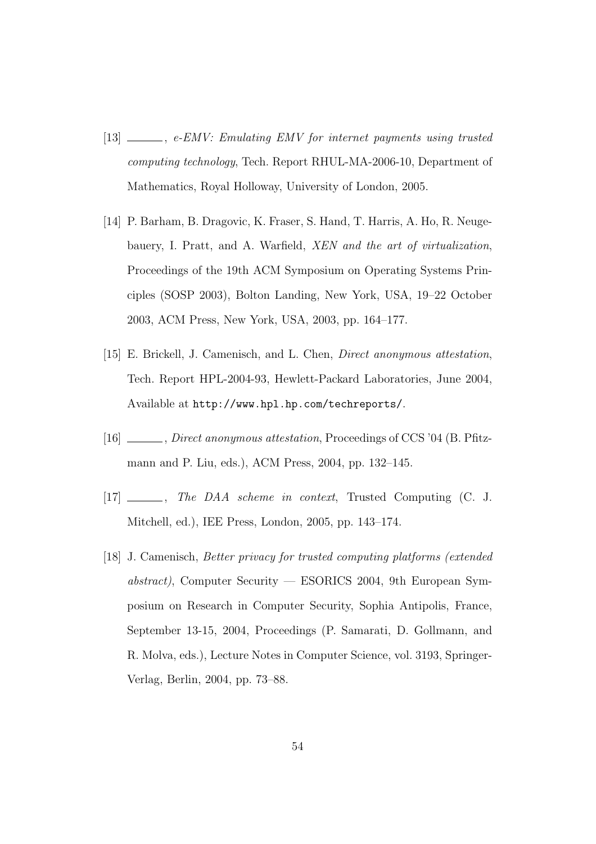- [13]  $\_\_\_\_\_\$ ge-EMV: Emulating EMV for internet payments using trusted computing technology, Tech. Report RHUL-MA-2006-10, Department of Mathematics, Royal Holloway, University of London, 2005.
- [14] P. Barham, B. Dragovic, K. Fraser, S. Hand, T. Harris, A. Ho, R. Neugebauery, I. Pratt, and A. Warfield, XEN and the art of virtualization, Proceedings of the 19th ACM Symposium on Operating Systems Principles (SOSP 2003), Bolton Landing, New York, USA, 19–22 October 2003, ACM Press, New York, USA, 2003, pp. 164–177.
- [15] E. Brickell, J. Camenisch, and L. Chen, Direct anonymous attestation, Tech. Report HPL-2004-93, Hewlett-Packard Laboratories, June 2004, Available at http://www.hpl.hp.com/techreports/.
- [16] , Direct anonymous attestation, Proceedings of CCS '04 (B. Pfitzmann and P. Liu, eds.), ACM Press, 2004, pp. 132–145.
- [17] \_\_\_\_\_\_, The DAA scheme in context, Trusted Computing (C. J. Mitchell, ed.), IEE Press, London, 2005, pp. 143–174.
- [18] J. Camenisch, Better privacy for trusted computing platforms (extended abstract), Computer Security — ESORICS 2004, 9th European Symposium on Research in Computer Security, Sophia Antipolis, France, September 13-15, 2004, Proceedings (P. Samarati, D. Gollmann, and R. Molva, eds.), Lecture Notes in Computer Science, vol. 3193, Springer-Verlag, Berlin, 2004, pp. 73–88.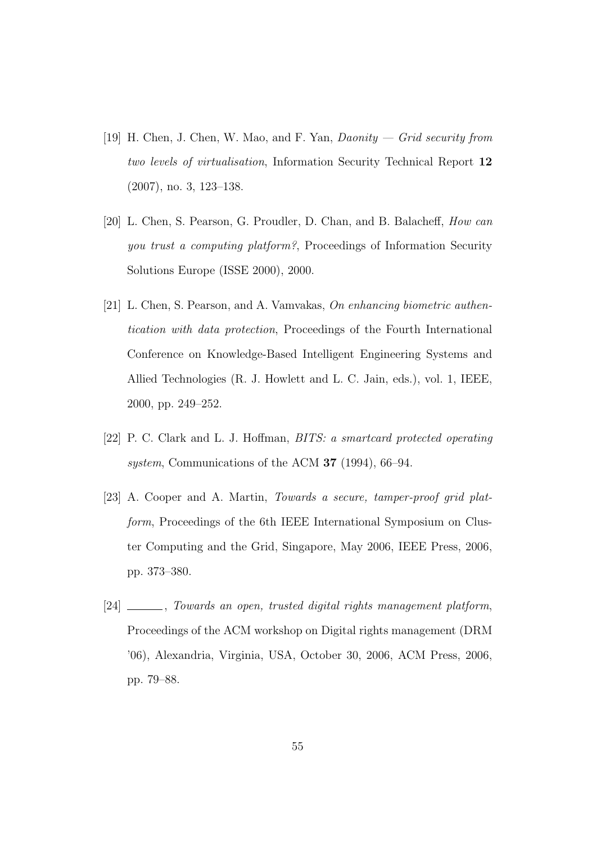- [19] H. Chen, J. Chen, W. Mao, and F. Yan,  $\textit{Daonity} \textit{Grid security from}$ two levels of virtualisation, Information Security Technical Report 12 (2007), no. 3, 123–138.
- [20] L. Chen, S. Pearson, G. Proudler, D. Chan, and B. Balacheff, How can you trust a computing platform?, Proceedings of Information Security Solutions Europe (ISSE 2000), 2000.
- [21] L. Chen, S. Pearson, and A. Vamvakas, On enhancing biometric authentication with data protection, Proceedings of the Fourth International Conference on Knowledge-Based Intelligent Engineering Systems and Allied Technologies (R. J. Howlett and L. C. Jain, eds.), vol. 1, IEEE, 2000, pp. 249–252.
- [22] P. C. Clark and L. J. Hoffman, BITS: a smartcard protected operating system, Communications of the ACM **37** (1994), 66–94.
- [23] A. Cooper and A. Martin, Towards a secure, tamper-proof grid platform, Proceedings of the 6th IEEE International Symposium on Cluster Computing and the Grid, Singapore, May 2006, IEEE Press, 2006, pp. 373–380.
- [24] \_\_\_\_, Towards an open, trusted digital rights management platform, Proceedings of the ACM workshop on Digital rights management (DRM '06), Alexandria, Virginia, USA, October 30, 2006, ACM Press, 2006, pp. 79–88.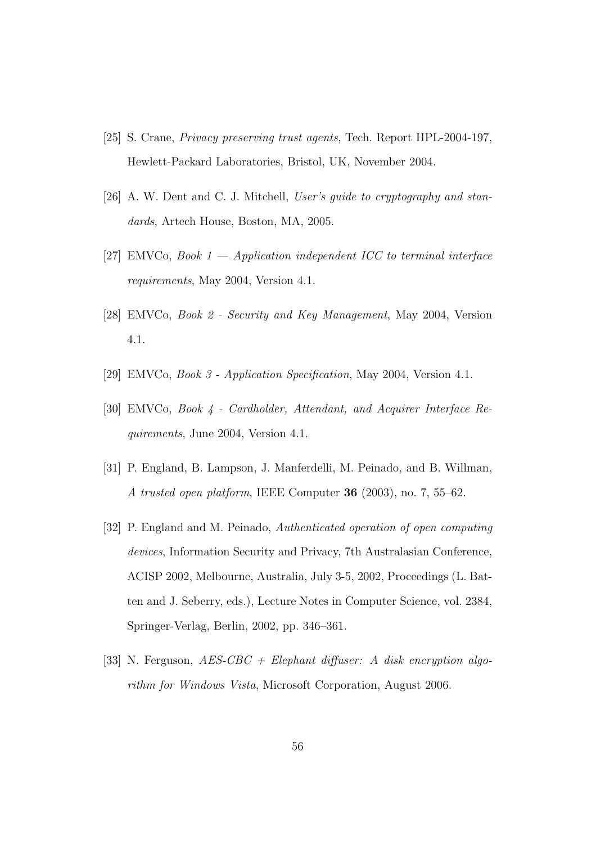- [25] S. Crane, Privacy preserving trust agents, Tech. Report HPL-2004-197, Hewlett-Packard Laboratories, Bristol, UK, November 2004.
- [26] A. W. Dent and C. J. Mitchell, User's guide to cryptography and standards, Artech House, Boston, MA, 2005.
- [27] EMVCo, Book  $1$  Application independent ICC to terminal interface requirements, May 2004, Version 4.1.
- [28] EMVCo, Book 2 Security and Key Management, May 2004, Version 4.1.
- [29] EMVCo, Book 3 Application Specification, May 2004, Version 4.1.
- [30] EMVCo, Book 4 Cardholder, Attendant, and Acquirer Interface Requirements, June 2004, Version 4.1.
- [31] P. England, B. Lampson, J. Manferdelli, M. Peinado, and B. Willman, A trusted open platform, IEEE Computer 36 (2003), no. 7, 55–62.
- [32] P. England and M. Peinado, Authenticated operation of open computing devices, Information Security and Privacy, 7th Australasian Conference, ACISP 2002, Melbourne, Australia, July 3-5, 2002, Proceedings (L. Batten and J. Seberry, eds.), Lecture Notes in Computer Science, vol. 2384, Springer-Verlag, Berlin, 2002, pp. 346–361.
- [33] N. Ferguson,  $AES\text{-}CBC + Elephant\ different{} difuser: A disk\ encryption\ algo$ rithm for Windows Vista, Microsoft Corporation, August 2006.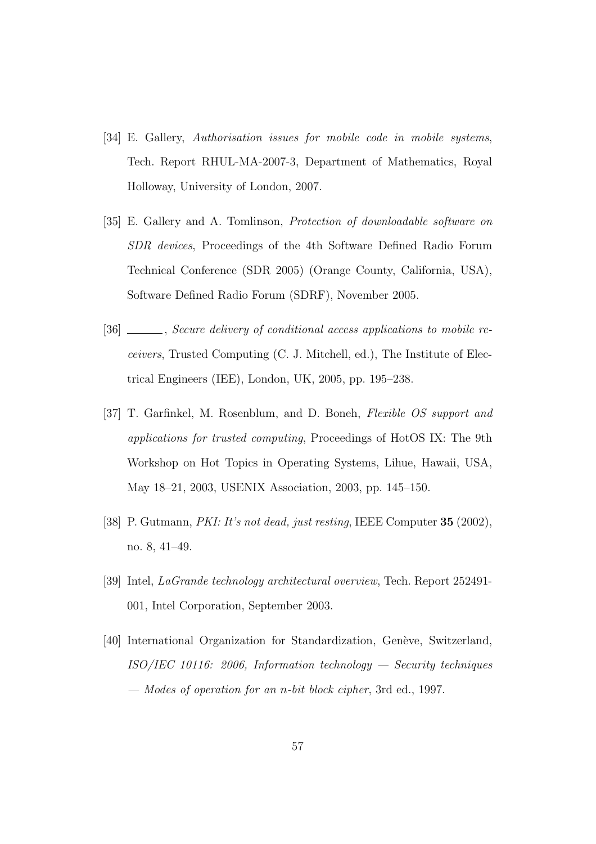- [34] E. Gallery, Authorisation issues for mobile code in mobile systems, Tech. Report RHUL-MA-2007-3, Department of Mathematics, Royal Holloway, University of London, 2007.
- [35] E. Gallery and A. Tomlinson, Protection of downloadable software on SDR devices, Proceedings of the 4th Software Defined Radio Forum Technical Conference (SDR 2005) (Orange County, California, USA), Software Defined Radio Forum (SDRF), November 2005.
- [36] Secure delivery of conditional access applications to mobile receivers, Trusted Computing (C. J. Mitchell, ed.), The Institute of Electrical Engineers (IEE), London, UK, 2005, pp. 195–238.
- [37] T. Garfinkel, M. Rosenblum, and D. Boneh, Flexible OS support and applications for trusted computing, Proceedings of HotOS IX: The 9th Workshop on Hot Topics in Operating Systems, Lihue, Hawaii, USA, May 18–21, 2003, USENIX Association, 2003, pp. 145–150.
- [38] P. Gutmann, PKI: It's not dead, just resting, IEEE Computer 35 (2002), no. 8, 41–49.
- [39] Intel, LaGrande technology architectural overview, Tech. Report 252491- 001, Intel Corporation, September 2003.
- [40] International Organization for Standardization, Genève, Switzerland,  $ISO/IEC$  10116: 2006, Information technology — Security techniques — Modes of operation for an n-bit block cipher, 3rd ed., 1997.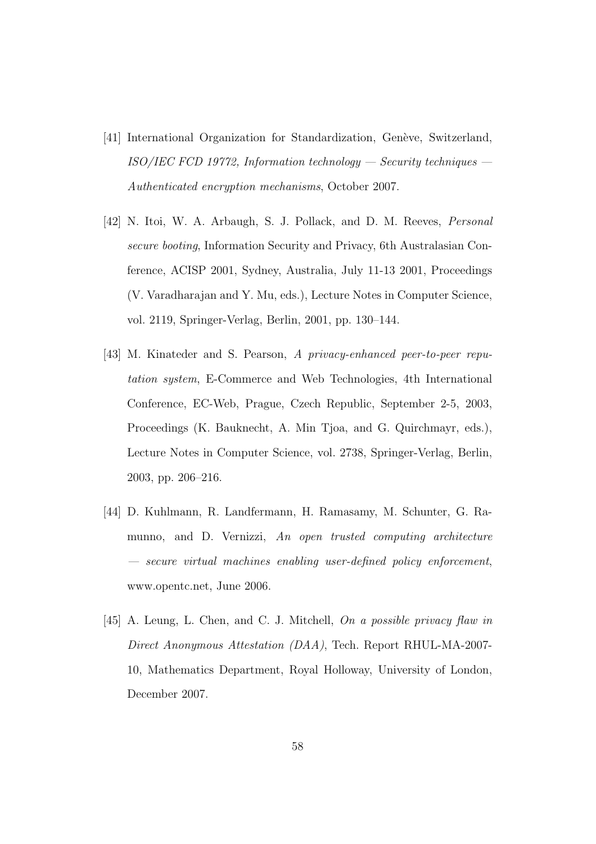- [41] International Organization for Standardization, Genève, Switzerland, ISO/IEC FCD 19772, Information technology — Security techniques — Authenticated encryption mechanisms, October 2007.
- [42] N. Itoi, W. A. Arbaugh, S. J. Pollack, and D. M. Reeves, Personal secure booting, Information Security and Privacy, 6th Australasian Conference, ACISP 2001, Sydney, Australia, July 11-13 2001, Proceedings (V. Varadharajan and Y. Mu, eds.), Lecture Notes in Computer Science, vol. 2119, Springer-Verlag, Berlin, 2001, pp. 130–144.
- [43] M. Kinateder and S. Pearson, A privacy-enhanced peer-to-peer reputation system, E-Commerce and Web Technologies, 4th International Conference, EC-Web, Prague, Czech Republic, September 2-5, 2003, Proceedings (K. Bauknecht, A. Min Tjoa, and G. Quirchmayr, eds.), Lecture Notes in Computer Science, vol. 2738, Springer-Verlag, Berlin, 2003, pp. 206–216.
- [44] D. Kuhlmann, R. Landfermann, H. Ramasamy, M. Schunter, G. Ramunno, and D. Vernizzi, An open trusted computing architecture — secure virtual machines enabling user-defined policy enforcement, www.opentc.net, June 2006.
- [45] A. Leung, L. Chen, and C. J. Mitchell, On a possible privacy flaw in Direct Anonymous Attestation (DAA), Tech. Report RHUL-MA-2007- 10, Mathematics Department, Royal Holloway, University of London, December 2007.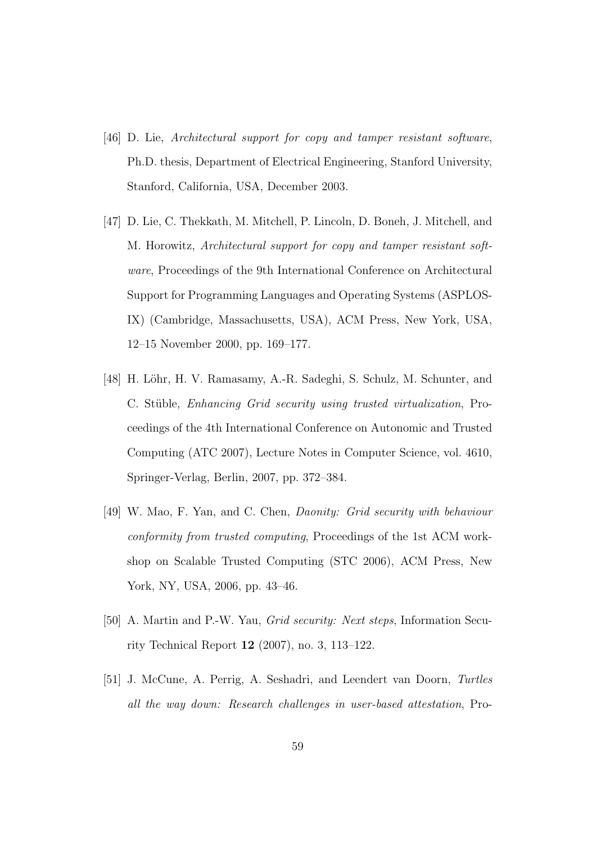- [46] D. Lie, Architectural support for copy and tamper resistant software, Ph.D. thesis, Department of Electrical Engineering, Stanford University, Stanford, California, USA, December 2003.
- [47] D. Lie, C. Thekkath, M. Mitchell, P. Lincoln, D. Boneh, J. Mitchell, and M. Horowitz, Architectural support for copy and tamper resistant software, Proceedings of the 9th International Conference on Architectural Support for Programming Languages and Operating Systems (ASPLOS-IX) (Cambridge, Massachusetts, USA), ACM Press, New York, USA, 12–15 November 2000, pp. 169–177.
- [48] H. Löhr, H. V. Ramasamy, A.-R. Sadeghi, S. Schulz, M. Schunter, and C. Stüble, Enhancing Grid security using trusted virtualization, Proceedings of the 4th International Conference on Autonomic and Trusted Computing (ATC 2007), Lecture Notes in Computer Science, vol. 4610, Springer-Verlag, Berlin, 2007, pp. 372–384.
- [49] W. Mao, F. Yan, and C. Chen, Daonity: Grid security with behaviour conformity from trusted computing, Proceedings of the 1st ACM workshop on Scalable Trusted Computing (STC 2006), ACM Press, New York, NY, USA, 2006, pp. 43–46.
- [50] A. Martin and P.-W. Yau, Grid security: Next steps, Information Security Technical Report 12 (2007), no. 3, 113–122.
- [51] J. McCune, A. Perrig, A. Seshadri, and Leendert van Doorn, Turtles all the way down: Research challenges in user-based attestation, Pro-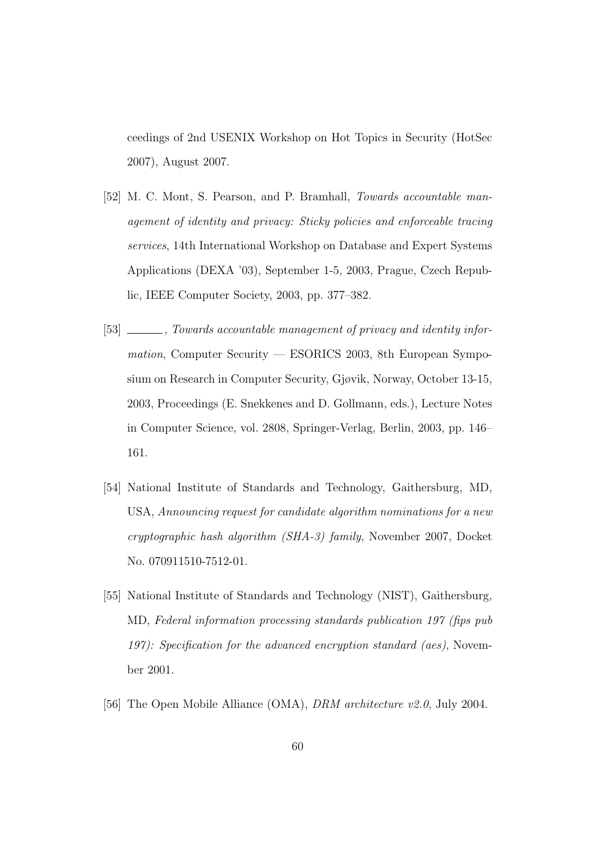ceedings of 2nd USENIX Workshop on Hot Topics in Security (HotSec 2007), August 2007.

- [52] M. C. Mont, S. Pearson, and P. Bramhall, Towards accountable management of identity and privacy: Sticky policies and enforceable tracing services, 14th International Workshop on Database and Expert Systems Applications (DEXA '03), September 1-5, 2003, Prague, Czech Republic, IEEE Computer Society, 2003, pp. 377–382.
- [53] \_\_\_\_\_\_, Towards accountable management of privacy and identity information, Computer Security — ESORICS 2003, 8th European Symposium on Research in Computer Security, Gjøvik, Norway, October 13-15, 2003, Proceedings (E. Snekkenes and D. Gollmann, eds.), Lecture Notes in Computer Science, vol. 2808, Springer-Verlag, Berlin, 2003, pp. 146– 161.
- [54] National Institute of Standards and Technology, Gaithersburg, MD, USA, Announcing request for candidate algorithm nominations for a new cryptographic hash algorithm (SHA-3) family, November 2007, Docket No. 070911510-7512-01.
- [55] National Institute of Standards and Technology (NIST), Gaithersburg, MD, Federal information processing standards publication 197 (fips pub 197): Specification for the advanced encryption standard (aes), November 2001.
- [56] The Open Mobile Alliance (OMA), *DRM architecture v2.0*, July 2004.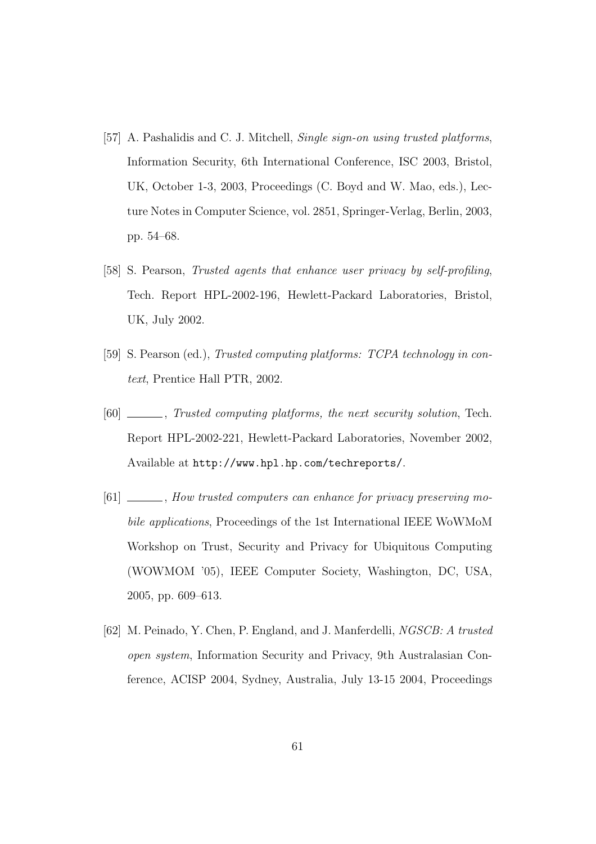- [57] A. Pashalidis and C. J. Mitchell, *Single sign-on using trusted platforms*, Information Security, 6th International Conference, ISC 2003, Bristol, UK, October 1-3, 2003, Proceedings (C. Boyd and W. Mao, eds.), Lecture Notes in Computer Science, vol. 2851, Springer-Verlag, Berlin, 2003, pp. 54–68.
- [58] S. Pearson, Trusted agents that enhance user privacy by self-profiling, Tech. Report HPL-2002-196, Hewlett-Packard Laboratories, Bristol, UK, July 2002.
- [59] S. Pearson (ed.), Trusted computing platforms: TCPA technology in context, Prentice Hall PTR, 2002.
- [60] , Trusted computing platforms, the next security solution, Tech. Report HPL-2002-221, Hewlett-Packard Laboratories, November 2002, Available at http://www.hpl.hp.com/techreports/.
- [61] \_\_\_\_\_, How trusted computers can enhance for privacy preserving mobile applications, Proceedings of the 1st International IEEE WoWMoM Workshop on Trust, Security and Privacy for Ubiquitous Computing (WOWMOM '05), IEEE Computer Society, Washington, DC, USA, 2005, pp. 609–613.
- [62] M. Peinado, Y. Chen, P. England, and J. Manferdelli, NGSCB: A trusted open system, Information Security and Privacy, 9th Australasian Conference, ACISP 2004, Sydney, Australia, July 13-15 2004, Proceedings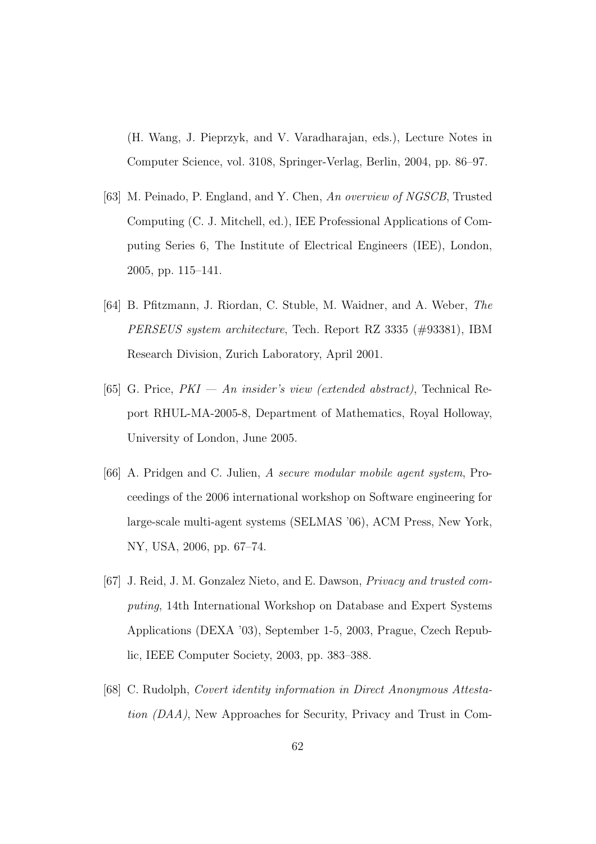(H. Wang, J. Pieprzyk, and V. Varadharajan, eds.), Lecture Notes in Computer Science, vol. 3108, Springer-Verlag, Berlin, 2004, pp. 86–97.

- [63] M. Peinado, P. England, and Y. Chen, An overview of NGSCB, Trusted Computing (C. J. Mitchell, ed.), IEE Professional Applications of Computing Series 6, The Institute of Electrical Engineers (IEE), London, 2005, pp. 115–141.
- [64] B. Pfitzmann, J. Riordan, C. Stuble, M. Waidner, and A. Weber, The PERSEUS system architecture, Tech. Report RZ 3335 (#93381), IBM Research Division, Zurich Laboratory, April 2001.
- [65] G. Price,  $PKI An\ insider's\ view\ (extended\ abstract)$ , Technical Report RHUL-MA-2005-8, Department of Mathematics, Royal Holloway, University of London, June 2005.
- [66] A. Pridgen and C. Julien, A secure modular mobile agent system, Proceedings of the 2006 international workshop on Software engineering for large-scale multi-agent systems (SELMAS '06), ACM Press, New York, NY, USA, 2006, pp. 67–74.
- [67] J. Reid, J. M. Gonzalez Nieto, and E. Dawson, Privacy and trusted computing, 14th International Workshop on Database and Expert Systems Applications (DEXA '03), September 1-5, 2003, Prague, Czech Republic, IEEE Computer Society, 2003, pp. 383–388.
- [68] C. Rudolph, Covert identity information in Direct Anonymous Attestation (DAA), New Approaches for Security, Privacy and Trust in Com-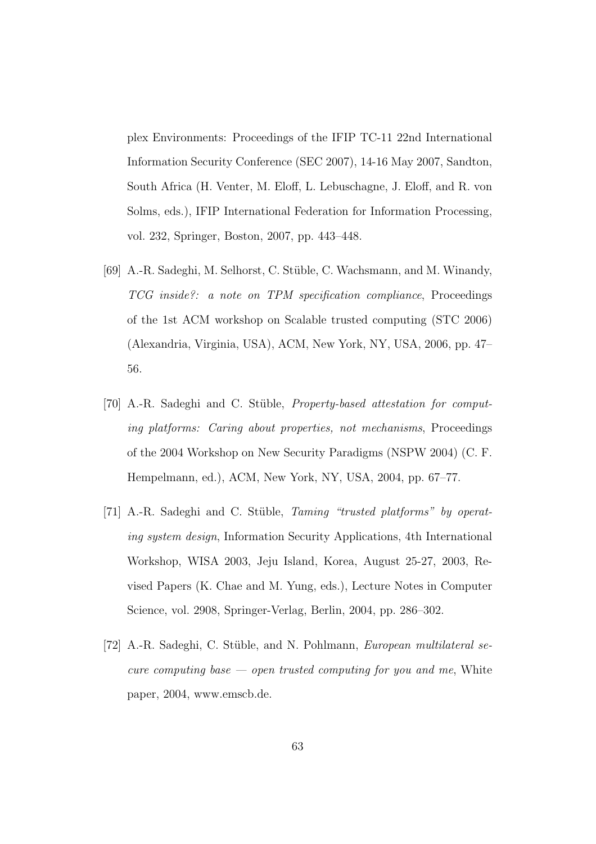plex Environments: Proceedings of the IFIP TC-11 22nd International Information Security Conference (SEC 2007), 14-16 May 2007, Sandton, South Africa (H. Venter, M. Eloff, L. Lebuschagne, J. Eloff, and R. von Solms, eds.), IFIP International Federation for Information Processing, vol. 232, Springer, Boston, 2007, pp. 443–448.

- [69] A.-R. Sadeghi, M. Selhorst, C. Stüble, C. Wachsmann, and M. Winandy, TCG inside?: a note on TPM specification compliance, Proceedings of the 1st ACM workshop on Scalable trusted computing (STC 2006) (Alexandria, Virginia, USA), ACM, New York, NY, USA, 2006, pp. 47– 56.
- [70] A.-R. Sadeghi and C. Stüble, *Property-based attestation for comput*ing platforms: Caring about properties, not mechanisms, Proceedings of the 2004 Workshop on New Security Paradigms (NSPW 2004) (C. F. Hempelmann, ed.), ACM, New York, NY, USA, 2004, pp. 67–77.
- [71] A.-R. Sadeghi and C. Stüble, *Taming "trusted platforms" by operat*ing system design, Information Security Applications, 4th International Workshop, WISA 2003, Jeju Island, Korea, August 25-27, 2003, Revised Papers (K. Chae and M. Yung, eds.), Lecture Notes in Computer Science, vol. 2908, Springer-Verlag, Berlin, 2004, pp. 286–302.
- [72] A.-R. Sadeghi, C. Stüble, and N. Pohlmann, *European multilateral se*cure computing base  $\sim$  open trusted computing for you and me, White paper, 2004, www.emscb.de.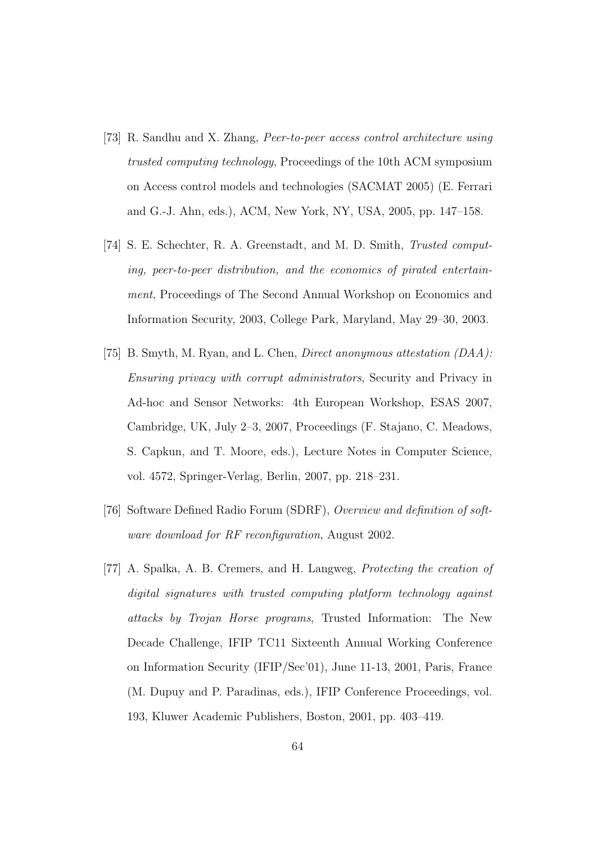- [73] R. Sandhu and X. Zhang, Peer-to-peer access control architecture using trusted computing technology, Proceedings of the 10th ACM symposium on Access control models and technologies (SACMAT 2005) (E. Ferrari and G.-J. Ahn, eds.), ACM, New York, NY, USA, 2005, pp. 147–158.
- [74] S. E. Schechter, R. A. Greenstadt, and M. D. Smith, Trusted computing, peer-to-peer distribution, and the economics of pirated entertainment, Proceedings of The Second Annual Workshop on Economics and Information Security, 2003, College Park, Maryland, May 29–30, 2003.
- [75] B. Smyth, M. Ryan, and L. Chen, Direct anonymous attestation (DAA): Ensuring privacy with corrupt administrators, Security and Privacy in Ad-hoc and Sensor Networks: 4th European Workshop, ESAS 2007, Cambridge, UK, July 2–3, 2007, Proceedings (F. Stajano, C. Meadows, S. Capkun, and T. Moore, eds.), Lecture Notes in Computer Science, vol. 4572, Springer-Verlag, Berlin, 2007, pp. 218–231.
- [76] Software Defined Radio Forum (SDRF), Overview and definition of software download for RF reconfiguration, August 2002.
- [77] A. Spalka, A. B. Cremers, and H. Langweg, Protecting the creation of digital signatures with trusted computing platform technology against attacks by Trojan Horse programs, Trusted Information: The New Decade Challenge, IFIP TC11 Sixteenth Annual Working Conference on Information Security (IFIP/Sec'01), June 11-13, 2001, Paris, France (M. Dupuy and P. Paradinas, eds.), IFIP Conference Proceedings, vol. 193, Kluwer Academic Publishers, Boston, 2001, pp. 403–419.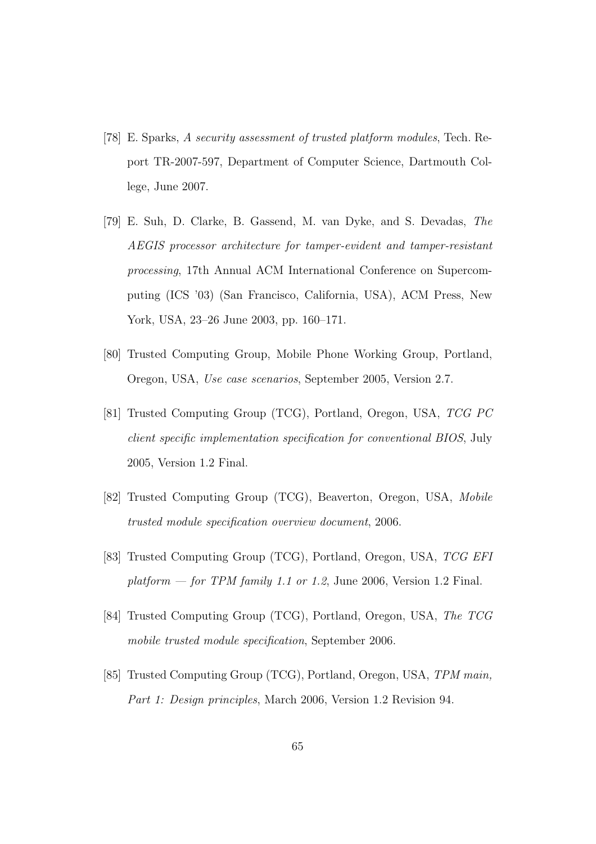- [78] E. Sparks, A security assessment of trusted platform modules, Tech. Report TR-2007-597, Department of Computer Science, Dartmouth College, June 2007.
- [79] E. Suh, D. Clarke, B. Gassend, M. van Dyke, and S. Devadas, The AEGIS processor architecture for tamper-evident and tamper-resistant processing, 17th Annual ACM International Conference on Supercomputing (ICS '03) (San Francisco, California, USA), ACM Press, New York, USA, 23–26 June 2003, pp. 160–171.
- [80] Trusted Computing Group, Mobile Phone Working Group, Portland, Oregon, USA, Use case scenarios, September 2005, Version 2.7.
- [81] Trusted Computing Group (TCG), Portland, Oregon, USA, TCG PC client specific implementation specification for conventional BIOS, July 2005, Version 1.2 Final.
- [82] Trusted Computing Group (TCG), Beaverton, Oregon, USA, Mobile trusted module specification overview document, 2006.
- [83] Trusted Computing Group (TCG), Portland, Oregon, USA, TCG EFI platform  $-$  for TPM family 1.1 or 1.2, June 2006, Version 1.2 Final.
- [84] Trusted Computing Group (TCG), Portland, Oregon, USA, The TCG mobile trusted module specification, September 2006.
- [85] Trusted Computing Group (TCG), Portland, Oregon, USA, TPM main, Part 1: Design principles, March 2006, Version 1.2 Revision 94.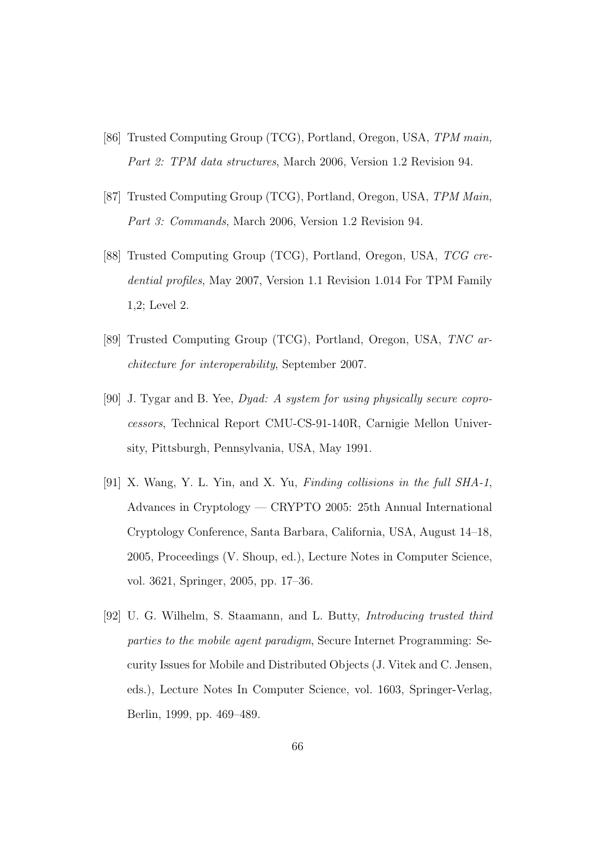- [86] Trusted Computing Group (TCG), Portland, Oregon, USA, TPM main, Part 2: TPM data structures, March 2006, Version 1.2 Revision 94.
- [87] Trusted Computing Group (TCG), Portland, Oregon, USA, TPM Main, Part 3: Commands, March 2006, Version 1.2 Revision 94.
- [88] Trusted Computing Group (TCG), Portland, Oregon, USA, TCG credential profiles, May 2007, Version 1.1 Revision 1.014 For TPM Family 1,2; Level 2.
- [89] Trusted Computing Group (TCG), Portland, Oregon, USA, TNC architecture for interoperability, September 2007.
- [90] J. Tygar and B. Yee, Dyad: A system for using physically secure coprocessors, Technical Report CMU-CS-91-140R, Carnigie Mellon University, Pittsburgh, Pennsylvania, USA, May 1991.
- [91] X. Wang, Y. L. Yin, and X. Yu, Finding collisions in the full SHA-1, Advances in Cryptology — CRYPTO 2005: 25th Annual International Cryptology Conference, Santa Barbara, California, USA, August 14–18, 2005, Proceedings (V. Shoup, ed.), Lecture Notes in Computer Science, vol. 3621, Springer, 2005, pp. 17–36.
- [92] U. G. Wilhelm, S. Staamann, and L. Butty, Introducing trusted third parties to the mobile agent paradigm, Secure Internet Programming: Security Issues for Mobile and Distributed Objects (J. Vitek and C. Jensen, eds.), Lecture Notes In Computer Science, vol. 1603, Springer-Verlag, Berlin, 1999, pp. 469–489.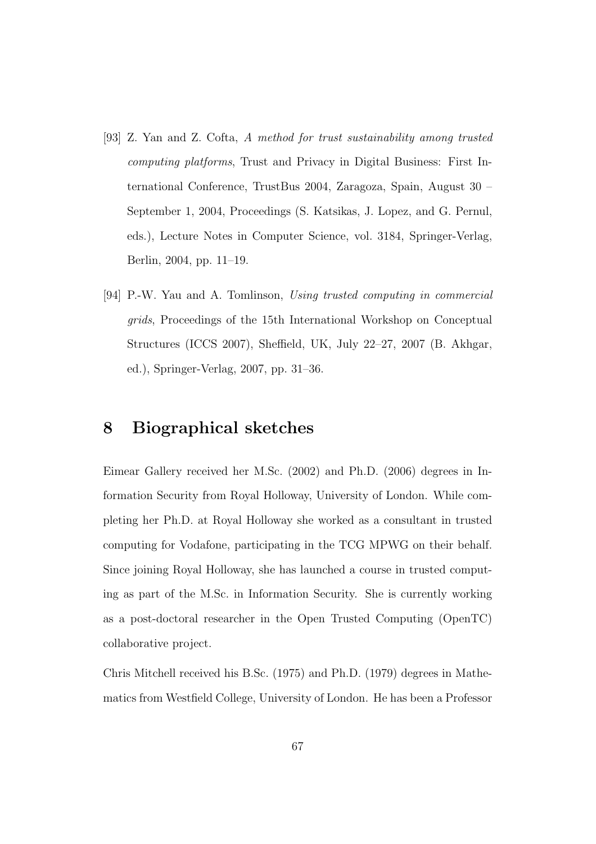- [93] Z. Yan and Z. Cofta, A method for trust sustainability among trusted computing platforms, Trust and Privacy in Digital Business: First International Conference, TrustBus 2004, Zaragoza, Spain, August 30 – September 1, 2004, Proceedings (S. Katsikas, J. Lopez, and G. Pernul, eds.), Lecture Notes in Computer Science, vol. 3184, Springer-Verlag, Berlin, 2004, pp. 11–19.
- [94] P.-W. Yau and A. Tomlinson, Using trusted computing in commercial grids, Proceedings of the 15th International Workshop on Conceptual Structures (ICCS 2007), Sheffield, UK, July 22–27, 2007 (B. Akhgar, ed.), Springer-Verlag, 2007, pp. 31–36.

### 8 Biographical sketches

Eimear Gallery received her M.Sc. (2002) and Ph.D. (2006) degrees in Information Security from Royal Holloway, University of London. While completing her Ph.D. at Royal Holloway she worked as a consultant in trusted computing for Vodafone, participating in the TCG MPWG on their behalf. Since joining Royal Holloway, she has launched a course in trusted computing as part of the M.Sc. in Information Security. She is currently working as a post-doctoral researcher in the Open Trusted Computing (OpenTC) collaborative project.

Chris Mitchell received his B.Sc. (1975) and Ph.D. (1979) degrees in Mathematics from Westfield College, University of London. He has been a Professor